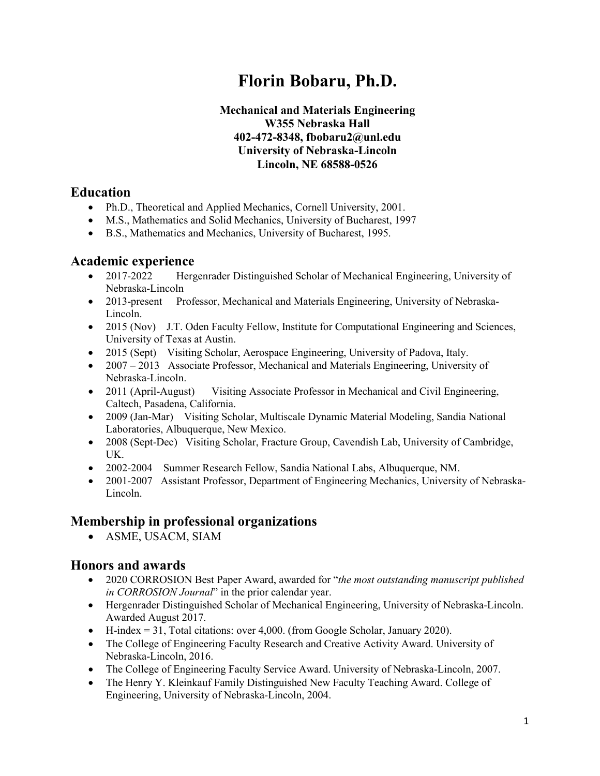# **Florin Bobaru, Ph.D.**

#### **Mechanical and Materials Engineering W355 Nebraska Hall 402-472-8348, fbobaru2@unl.edu University of Nebraska-Lincoln Lincoln, NE 68588-0526**

#### **Education**

- Ph.D., Theoretical and Applied Mechanics, Cornell University, 2001.
- M.S., Mathematics and Solid Mechanics, University of Bucharest, 1997
- B.S., Mathematics and Mechanics, University of Bucharest, 1995.

#### **Academic experience**

- 2017-2022 Hergenrader Distinguished Scholar of Mechanical Engineering, University of Nebraska-Lincoln
- 2013-present Professor, Mechanical and Materials Engineering, University of Nebraska-Lincoln.
- 2015 (Nov) J.T. Oden Faculty Fellow, Institute for Computational Engineering and Sciences, University of Texas at Austin.
- 2015 (Sept) Visiting Scholar, Aerospace Engineering, University of Padova, Italy.
- 2007 2013 Associate Professor, Mechanical and Materials Engineering, University of Nebraska-Lincoln.
- 2011 (April-August) Visiting Associate Professor in Mechanical and Civil Engineering, Caltech, Pasadena, California.
- 2009 (Jan-Mar) Visiting Scholar, Multiscale Dynamic Material Modeling, Sandia National Laboratories, Albuquerque, New Mexico.
- 2008 (Sept-Dec) Visiting Scholar, Fracture Group, Cavendish Lab, University of Cambridge, UK.
- 2002-2004 Summer Research Fellow, Sandia National Labs, Albuquerque, NM.
- 2001-2007 Assistant Professor, Department of Engineering Mechanics, University of Nebraska-Lincoln.

# **Membership in professional organizations**

• ASME, USACM, SIAM

# **Honors and awards**

- 2020 CORROSION Best Paper Award, awarded for "*the most outstanding manuscript published in CORROSION Journal*" in the prior calendar year.
- Hergenrader Distinguished Scholar of Mechanical Engineering, University of Nebraska-Lincoln. Awarded August 2017.
- H-index = 31, Total citations: over 4,000. (from Google Scholar, January 2020).
- The College of Engineering Faculty Research and Creative Activity Award. University of Nebraska-Lincoln, 2016.
- The College of Engineering Faculty Service Award. University of Nebraska-Lincoln, 2007.
- The Henry Y. Kleinkauf Family Distinguished New Faculty Teaching Award. College of Engineering, University of Nebraska-Lincoln, 2004.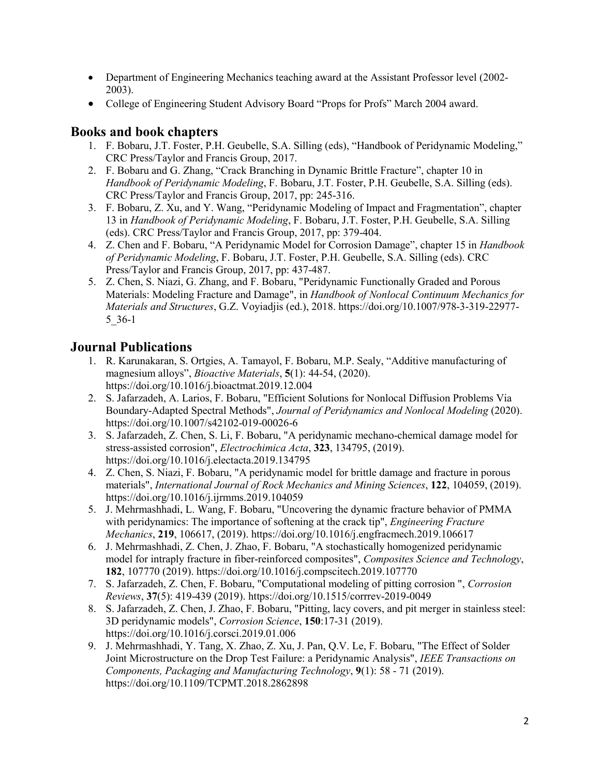- Department of Engineering Mechanics teaching award at the Assistant Professor level (2002-2003).
- College of Engineering Student Advisory Board "Props for Profs" March 2004 award.

#### **Books and book chapters**

- 1. F. Bobaru, J.T. Foster, P.H. Geubelle, S.A. Silling (eds), "Handbook of Peridynamic Modeling," CRC Press/Taylor and Francis Group, 2017.
- 2. F. Bobaru and G. Zhang, "Crack Branching in Dynamic Brittle Fracture", chapter 10 in *Handbook of Peridynamic Modeling*, F. Bobaru, J.T. Foster, P.H. Geubelle, S.A. Silling (eds). CRC Press/Taylor and Francis Group, 2017, pp: 245-316.
- 3. F. Bobaru, Z. Xu, and Y. Wang, "Peridynamic Modeling of Impact and Fragmentation", chapter 13 in *Handbook of Peridynamic Modeling*, F. Bobaru, J.T. Foster, P.H. Geubelle, S.A. Silling (eds). CRC Press/Taylor and Francis Group, 2017, pp: 379-404.
- 4. Z. Chen and F. Bobaru, "A Peridynamic Model for Corrosion Damage", chapter 15 in *Handbook of Peridynamic Modeling*, F. Bobaru, J.T. Foster, P.H. Geubelle, S.A. Silling (eds). CRC Press/Taylor and Francis Group, 2017, pp: 437-487.
- 5. Z. Chen, S. Niazi, G. Zhang, and F. Bobaru, "Peridynamic Functionally Graded and Porous Materials: Modeling Fracture and Damage", in *Handbook of Nonlocal Continuum Mechanics for Materials and Structures*, G.Z. Voyiadjis (ed.), 2018. https://doi.org/10.1007/978-3-319-22977- 5\_36-1

# **Journal Publications**

- 1. R. Karunakaran, S. Ortgies, A. Tamayol, F. Bobaru, M.P. Sealy, "Additive manufacturing of magnesium alloys", *Bioactive Materials*, **5**(1): 44-54, (2020). https://doi.org/10.1016/j.bioactmat.2019.12.004
- 2. S. Jafarzadeh, A. Larios, F. Bobaru, "Efficient Solutions for Nonlocal Diffusion Problems Via Boundary-Adapted Spectral Methods", *Journal of Peridynamics and Nonlocal Modeling* (2020). https://doi.org/10.1007/s42102-019-00026-6
- 3. S. Jafarzadeh, Z. Chen, S. Li, F. Bobaru, "A peridynamic mechano-chemical damage model for stress-assisted corrosion", *Electrochimica Acta*, **323**, 134795, (2019). https://doi.org/10.1016/j.electacta.2019.134795
- 4. Z. Chen, S. Niazi, F. Bobaru, "A peridynamic model for brittle damage and fracture in porous materials", *International Journal of Rock Mechanics and Mining Sciences*, **122**, 104059, (2019). https://doi.org/10.1016/j.ijrmms.2019.104059
- 5. J. Mehrmashhadi, L. Wang, F. Bobaru, "Uncovering the dynamic fracture behavior of PMMA with peridynamics: The importance of softening at the crack tip", *Engineering Fracture Mechanics*, **219**, 106617, (2019). https://doi.org/10.1016/j.engfracmech.2019.106617
- 6. J. Mehrmashhadi, Z. Chen, J. Zhao, F. Bobaru, "A stochastically homogenized peridynamic model for intraply fracture in fiber-reinforced composites", *Composites Science and Technology*, **182**, 107770 (2019). https://doi.org/10.1016/j.compscitech.2019.107770
- 7. S. Jafarzadeh, Z. Chen, F. Bobaru, "Computational modeling of pitting corrosion ", *Corrosion Reviews*, **37**(5): 419-439 (2019). https://doi.org/10.1515/corrrev-2019-0049
- 8. S. Jafarzadeh, Z. Chen, J. Zhao, F. Bobaru, "Pitting, lacy covers, and pit merger in stainless steel: 3D peridynamic models", *Corrosion Science*, **150**:17-31 (2019). https://doi.org/10.1016/j.corsci.2019.01.006
- 9. J. Mehrmashhadi, Y. Tang, X. Zhao, Z. Xu, J. Pan, Q.V. Le, F. Bobaru, "The Effect of Solder Joint Microstructure on the Drop Test Failure: a Peridynamic Analysis", *IEEE Transactions on Components, Packaging and Manufacturing Technology*, **9**(1): 58 - 71 (2019). https://doi.org/10.1109/TCPMT.2018.2862898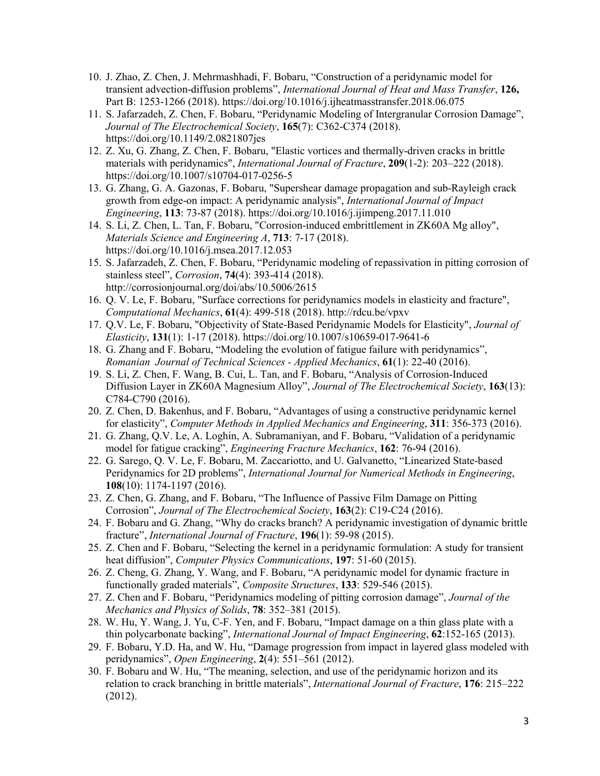- 10. J. Zhao, Z. Chen, J. Mehrmashhadi, F. Bobaru, "Construction of a peridynamic model for transient advection-diffusion problems", *International Journal of Heat and Mass Transfer*, **126,** Part B: 1253-1266 (2018). https://doi.org/10.1016/j.ijheatmasstransfer.2018.06.075
- 11. S. Jafarzadeh, Z. Chen, F. Bobaru, "Peridynamic Modeling of Intergranular Corrosion Damage", *Journal of The Electrochemical Society*, **165**(7): C362-C374 (2018). https://doi.org/10.1149/2.0821807jes
- 12. Z. Xu, G. Zhang, Z. Chen, F. Bobaru, "Elastic vortices and thermally-driven cracks in brittle materials with peridynamics", *International Journal of Fracture*, **209**(1-2): 203–222 (2018). https://doi.org/10.1007/s10704-017-0256-5
- 13. G. Zhang, G. A. Gazonas, F. Bobaru, "Supershear damage propagation and sub-Rayleigh crack growth from edge-on impact: A peridynamic analysis", *International Journal of Impact Engineering*, **113**: 73-87 (2018). https://doi.org/10.1016/j.ijimpeng.2017.11.010
- 14. S. Li, Z. Chen, L. Tan, F. Bobaru, "Corrosion-induced embrittlement in ZK60A Mg alloy", *Materials Science and Engineering A*, **713**: 7-17 (2018). https://doi.org/10.1016/j.msea.2017.12.053
- 15. S. Jafarzadeh, Z. Chen, F. Bobaru, "Peridynamic modeling of repassivation in pitting corrosion of stainless steel", *Corrosion*, **74**(4): 393-414 (2018). http://corrosionjournal.org/doi/abs/10.5006/2615
- 16. Q. V. Le, F. Bobaru, "Surface corrections for peridynamics models in elasticity and fracture", *Computational Mechanics*, **61**(4): 499-518 (2018). http://rdcu.be/vpxv
- 17. Q.V. Le, F. Bobaru, "Objectivity of State-Based Peridynamic Models for Elasticity", *Journal of Elasticity*, **131**(1): 1-17 (2018). https://doi.org/10.1007/s10659-017-9641-6
- 18. G. Zhang and F. Bobaru, "Modeling the evolution of fatigue failure with peridynamics", *Romanian Journal of Technical Sciences - Applied Mechanics*, **61**(1): 22-40 (2016).
- 19. S. Li, Z. Chen, F. Wang, B. Cui, L. Tan, and F. Bobaru, "Analysis of Corrosion-Induced Diffusion Layer in ZK60A Magnesium Alloy", *Journal of The Electrochemical Society*, **163**(13): C784-C790 (2016).
- 20. Z. Chen, D. Bakenhus, and F. Bobaru, "Advantages of using a constructive peridynamic kernel for elasticity", *Computer Methods in Applied Mechanics and Engineering*, **311**: 356-373 (2016).
- 21. G. Zhang, Q.V. Le, A. Loghin, A. Subramaniyan, and F. Bobaru, "Validation of a peridynamic model for fatigue cracking", *Engineering Fracture Mechanics*, **162**: 76-94 (2016).
- 22. G. Sarego, Q. V. Le, F. Bobaru, M. Zaccariotto, and U. Galvanetto, "Linearized State-based Peridynamics for 2D problems", *International Journal for Numerical Methods in Engineering*, **108**(10): 1174-1197 (2016).
- 23. Z. Chen, G. Zhang, and F. Bobaru, "The Influence of Passive Film Damage on Pitting Corrosion", *Journal of The Electrochemical Society*, **163**(2): C19-C24 (2016).
- 24. F. Bobaru and G. Zhang, "Why do cracks branch? A peridynamic investigation of dynamic brittle fracture", *International Journal of Fracture*, **196**(1): 59-98 (2015).
- 25. Z. Chen and F. Bobaru, "Selecting the kernel in a peridynamic formulation: A study for transient heat diffusion", *Computer Physics Communications*, **197**: 51-60 (2015).
- 26. Z. Cheng, G. Zhang, Y. Wang, and F. Bobaru, "A peridynamic model for dynamic fracture in functionally graded materials", *Composite Structures*, **133**: 529-546 (2015).
- 27. Z. Chen and F. Bobaru, "Peridynamics modeling of pitting corrosion damage", *Journal of the Mechanics and Physics of Solids*, **78**: 352–381 (2015).
- 28. W. Hu, Y. Wang, J. Yu, C-F. Yen, and F. Bobaru, "Impact damage on a thin glass plate with a thin polycarbonate backing", *International Journal of Impact Engineering*, **62**:152-165 (2013).
- 29. F. Bobaru, Y.D. Ha, and W. Hu, "Damage progression from impact in layered glass modeled with peridynamics", *Open Engineering*, **2**(4): 551–561 (2012).
- 30. F. Bobaru and W. Hu, "The meaning, selection, and use of the peridynamic horizon and its relation to crack branching in brittle materials", *International Journal of Fracture*, **176**: 215–222 (2012).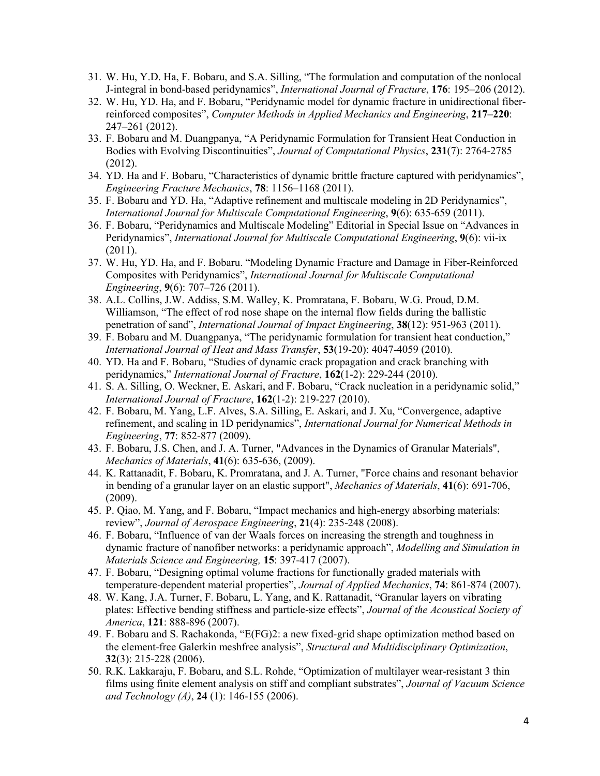- 31. W. Hu, Y.D. Ha, F. Bobaru, and S.A. Silling, "The formulation and computation of the nonlocal J-integral in bond-based peridynamics", *International Journal of Fracture*, **176**: 195–206 (2012).
- 32. W. Hu, YD. Ha, and F. Bobaru, "Peridynamic model for dynamic fracture in unidirectional fiberreinforced composites", *Computer Methods in Applied Mechanics and Engineering*, **217–220**: 247–261 (2012).
- 33. F. Bobaru and M. Duangpanya, "A Peridynamic Formulation for Transient Heat Conduction in Bodies with Evolving Discontinuities", *Journal of Computational Physics*, **231**(7): 2764-2785 (2012).
- 34. YD. Ha and F. Bobaru, "Characteristics of dynamic brittle fracture captured with peridynamics", *Engineering Fracture Mechanics*, **78**: 1156–1168 (2011).
- 35. F. Bobaru and YD. Ha, "Adaptive refinement and multiscale modeling in 2D Peridynamics", *International Journal for Multiscale Computational Engineering*, **9**(6): 635-659 (2011).
- 36. F. Bobaru, "Peridynamics and Multiscale Modeling" Editorial in Special Issue on "Advances in Peridynamics", *International Journal for Multiscale Computational Engineering*, **9**(6): vii-ix (2011).
- 37. W. Hu, YD. Ha, and F. Bobaru. "Modeling Dynamic Fracture and Damage in Fiber-Reinforced Composites with Peridynamics", *International Journal for Multiscale Computational Engineering*, **9**(6): 707–726 (2011).
- 38. A.L. Collins, J.W. Addiss, S.M. Walley, K. Promratana, F. Bobaru, W.G. Proud, D.M. Williamson, "The effect of rod nose shape on the internal flow fields during the ballistic penetration of sand", *International Journal of Impact Engineering*, **38**(12): 951-963 (2011).
- 39. F. Bobaru and M. Duangpanya, "The peridynamic formulation for transient heat conduction," *International Journal of Heat and Mass Transfer*, **53**(19-20): 4047-4059 (2010).
- 40. YD. Ha and F. Bobaru, "Studies of dynamic crack propagation and crack branching with peridynamics," *International Journal of Fracture*, **162**(1-2): 229-244 (2010).
- 41. S. A. Silling, O. Weckner, E. Askari, and F. Bobaru, "Crack nucleation in a peridynamic solid," *International Journal of Fracture*, **162**(1-2): 219-227 (2010).
- 42. F. Bobaru, M. Yang, L.F. Alves, S.A. Silling, E. Askari, and J. Xu, "Convergence, adaptive refinement, and scaling in 1D peridynamics", *International Journal for Numerical Methods in Engineering*, **77**: 852-877 (2009).
- 43. F. Bobaru, J.S. Chen, and J. A. Turner, "Advances in the Dynamics of Granular Materials", *Mechanics of Materials*, **41**(6): 635-636, (2009).
- 44. K. Rattanadit, F. Bobaru, K. Promratana, and J. A. Turner, "Force chains and resonant behavior in bending of a granular layer on an elastic support", *Mechanics of Materials*, **41**(6): 691-706, (2009).
- 45. P. Qiao, M. Yang, and F. Bobaru, "Impact mechanics and high-energy absorbing materials: review", *Journal of Aerospace Engineering*, **21**(4): 235-248 (2008).
- 46. F. Bobaru, "Influence of van der Waals forces on increasing the strength and toughness in dynamic fracture of nanofiber networks: a peridynamic approach", *Modelling and Simulation in Materials Science and Engineering,* **15**: 397-417 (2007).
- 47. F. Bobaru, "Designing optimal volume fractions for functionally graded materials with temperature-dependent material properties", *Journal of Applied Mechanics*, **74**: 861-874 (2007).
- 48. W. Kang, J.A. Turner, F. Bobaru, L. Yang, and K. Rattanadit, "Granular layers on vibrating plates: Effective bending stiffness and particle-size effects", *Journal of the Acoustical Society of America*, **121**: 888-896 (2007).
- 49. F. Bobaru and S. Rachakonda, "E(FG)2: a new fixed-grid shape optimization method based on the element-free Galerkin meshfree analysis", *Structural and Multidisciplinary Optimization*, **32**(3): 215-228 (2006).
- 50. R.K. Lakkaraju, F. Bobaru, and S.L. Rohde, "Optimization of multilayer wear-resistant 3 thin films using finite element analysis on stiff and compliant substrates", *Journal of Vacuum Science and Technology (A)*, **24** (1): 146-155 (2006).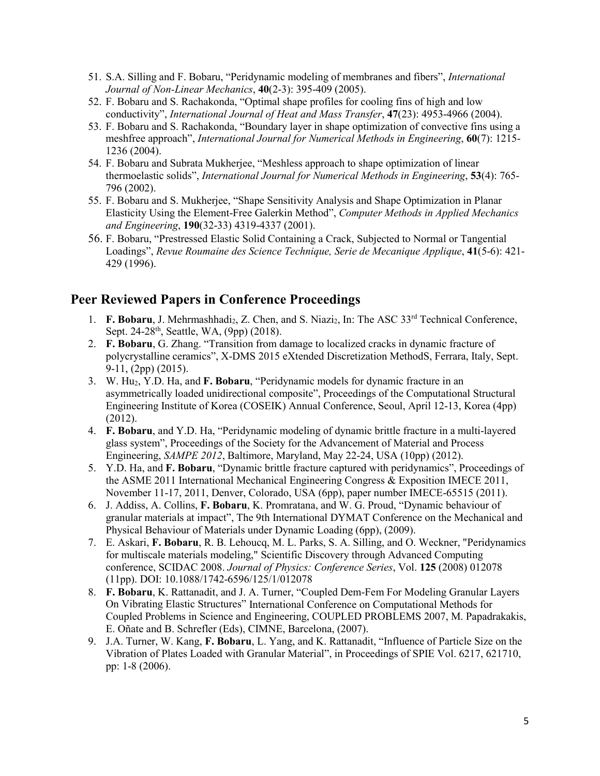- 51. S.A. Silling and F. Bobaru, "Peridynamic modeling of membranes and fibers", *International Journal of Non-Linear Mechanics*, **40**(2-3): 395-409 (2005).
- 52. F. Bobaru and S. Rachakonda, "Optimal shape profiles for cooling fins of high and low conductivity", *International Journal of Heat and Mass Transfer*, **47**(23): 4953-4966 (2004).
- 53. F. Bobaru and S. Rachakonda, "Boundary layer in shape optimization of convective fins using a meshfree approach", *International Journal for Numerical Methods in Engineering*, **60**(7): 1215- 1236 (2004).
- 54. F. Bobaru and Subrata Mukherjee, "Meshless approach to shape optimization of linear thermoelastic solids", *International Journal for Numerical Methods in Engineering*, **53**(4): 765- 796 (2002).
- 55. F. Bobaru and S. Mukherjee, "Shape Sensitivity Analysis and Shape Optimization in Planar Elasticity Using the Element-Free Galerkin Method", *Computer Methods in Applied Mechanics and Engineering*, **190**(32-33) 4319-4337 (2001).
- 56. F. Bobaru, "Prestressed Elastic Solid Containing a Crack, Subjected to Normal or Tangential Loadings", *Revue Roumaine des Science Technique, Serie de Mecanique Applique*, **41**(5-6): 421- 429 (1996).

#### **Peer Reviewed Papers in Conference Proceedings**

- 1. **F. Bobaru**, J. Mehrmashhadi<sub>2</sub>, Z. Chen, and S. Niazi<sub>2</sub>, In: The ASC 33<sup>rd</sup> Technical Conference, Sept. 24-28<sup>th</sup>, Seattle, WA, (9pp) (2018).
- 2. **F. Bobaru**, G. Zhang. "Transition from damage to localized cracks in dynamic fracture of polycrystalline ceramics", X-DMS 2015 eXtended Discretization MethodS, Ferrara, Italy, Sept. 9-11, (2pp) (2015).
- 3. W. Hu2, Y.D. Ha, and **F. Bobaru**, "Peridynamic models for dynamic fracture in an asymmetrically loaded unidirectional composite", Proceedings of the Computational Structural Engineering Institute of Korea (COSEIK) Annual Conference, Seoul, April 12-13, Korea (4pp) (2012).
- 4. **F. Bobaru**, and Y.D. Ha, "Peridynamic modeling of dynamic brittle fracture in a multi-layered glass system", Proceedings of the Society for the Advancement of Material and Process Engineering, *SAMPE 2012*, Baltimore, Maryland, May 22-24, USA (10pp) (2012).
- 5. Y.D. Ha, and **F. Bobaru**, "Dynamic brittle fracture captured with peridynamics", Proceedings of the ASME 2011 International Mechanical Engineering Congress & Exposition IMECE 2011, November 11-17, 2011, Denver, Colorado, USA (6pp), paper number IMECE-65515 (2011).
- 6. J. Addiss, A. Collins, **F. Bobaru**, K. Promratana, and W. G. Proud, "Dynamic behaviour of granular materials at impact", The 9th International DYMAT Conference on the Mechanical and Physical Behaviour of Materials under Dynamic Loading (6pp), (2009).
- 7. E. Askari, **F. Bobaru**, R. B. Lehoucq, M. L. Parks, S. A. Silling, and O. Weckner, "Peridynamics for multiscale materials modeling," Scientific Discovery through Advanced Computing conference, SCIDAC 2008. *Journal of Physics: Conference Series*, Vol. **125** (2008) 012078 (11pp). DOI: 10.1088/1742-6596/125/1/012078
- 8. **F. Bobaru**, K. Rattanadit, and J. A. Turner, "Coupled Dem-Fem For Modeling Granular Layers On Vibrating Elastic Structures" International Conference on Computational Methods for Coupled Problems in Science and Engineering, COUPLED PROBLEMS 2007, M. Papadrakakis, E. Oñate and B. Schrefler (Eds), CIMNE, Barcelona, (2007).
- 9. J.A. Turner, W. Kang, **F. Bobaru**, L. Yang, and K. Rattanadit, "Influence of Particle Size on the Vibration of Plates Loaded with Granular Material", in Proceedings of SPIE Vol. 6217, 621710, pp: 1-8 (2006).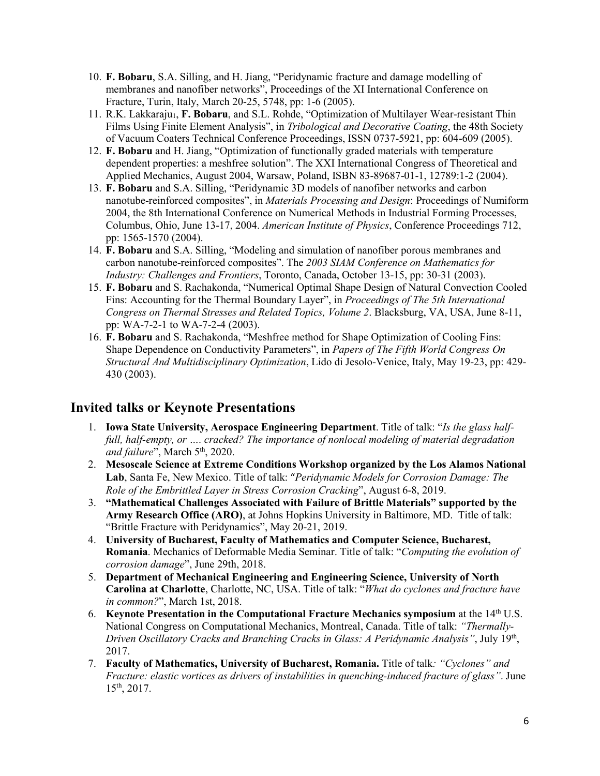- 10. **F. Bobaru**, S.A. Silling, and H. Jiang, "Peridynamic fracture and damage modelling of membranes and nanofiber networks", Proceedings of the XI International Conference on Fracture, Turin, Italy, March 20-25, 5748, pp: 1-6 (2005).
- 11. R.K. Lakkaraju<sub>1</sub>, **F. Bobaru**, and S.L. Rohde, "Optimization of Multilayer Wear-resistant Thin Films Using Finite Element Analysis", in *Tribological and Decorative Coating*, the 48th Society of Vacuum Coaters Technical Conference Proceedings, ISSN 0737-5921, pp: 604-609 (2005).
- 12. **F. Bobaru** and H. Jiang, "Optimization of functionally graded materials with temperature dependent properties: a meshfree solution". The XXI International Congress of Theoretical and Applied Mechanics, August 2004, Warsaw, Poland, ISBN 83-89687-01-1, 12789:1-2 (2004).
- 13. **F. Bobaru** and S.A. Silling, "Peridynamic 3D models of nanofiber networks and carbon nanotube-reinforced composites", in *Materials Processing and Design*: Proceedings of Numiform 2004, the 8th International Conference on Numerical Methods in Industrial Forming Processes, Columbus, Ohio, June 13-17, 2004. *American Institute of Physics*, Conference Proceedings 712, pp: 1565-1570 (2004).
- 14. **F. Bobaru** and S.A. Silling, "Modeling and simulation of nanofiber porous membranes and carbon nanotube-reinforced composites". The *2003 SIAM Conference on Mathematics for Industry: Challenges and Frontiers*, Toronto, Canada, October 13-15, pp: 30-31 (2003).
- 15. **F. Bobaru** and S. Rachakonda, "Numerical Optimal Shape Design of Natural Convection Cooled Fins: Accounting for the Thermal Boundary Layer", in *Proceedings of The 5th International Congress on Thermal Stresses and Related Topics, Volume 2*. Blacksburg, VA, USA, June 8-11, pp: WA-7-2-1 to WA-7-2-4 (2003).
- 16. **F. Bobaru** and S. Rachakonda, "Meshfree method for Shape Optimization of Cooling Fins: Shape Dependence on Conductivity Parameters", in *Papers of The Fifth World Congress On Structural And Multidisciplinary Optimization*, Lido di Jesolo-Venice, Italy, May 19-23, pp: 429- 430 (2003).

#### **Invited talks or Keynote Presentations**

- 1. **Iowa State University, Aerospace Engineering Department**. Title of talk: "*Is the glass halffull, half-empty, or …. cracked? The importance of nonlocal modeling of material degradation and failure*", March 5<sup>th</sup>, 2020.
- 2. **Mesoscale Science at Extreme Conditions Workshop organized by the Los Alamos National Lab**, Santa Fe, New Mexico. Title of talk: "*Peridynamic Models for Corrosion Damage: The Role of the Embrittled Layer in Stress Corrosion Cracking*", August 6-8, 2019.
- 3. **"Mathematical Challenges Associated with Failure of Brittle Materials" supported by the Army Research Office (ARO)**, at Johns Hopkins University in Baltimore, MD. Title of talk: "Brittle Fracture with Peridynamics", May 20-21, 2019.
- 4. **University of Bucharest, Faculty of Mathematics and Computer Science, Bucharest, Romania**. Mechanics of Deformable Media Seminar. Title of talk: "*Computing the evolution of corrosion damage*", June 29th, 2018.
- 5. **Department of Mechanical Engineering and Engineering Science, University of North Carolina at Charlotte**, Charlotte, NC, USA. Title of talk: "*What do cyclones and fracture have in common?*", March 1st, 2018.
- 6. **Keynote Presentation in the Computational Fracture Mechanics symposium** at the 14th U.S. National Congress on Computational Mechanics, Montreal, Canada. Title of talk: *"Thermally-Driven Oscillatory Cracks and Branching Cracks in Glass: A Peridynamic Analysis"*, July 19th, 2017.
- 7. **Faculty of Mathematics, University of Bucharest, Romania.** Title of talk*: "Cyclones" and Fracture: elastic vortices as drivers of instabilities in quenching-induced fracture of glass"*. June 15th, 2017.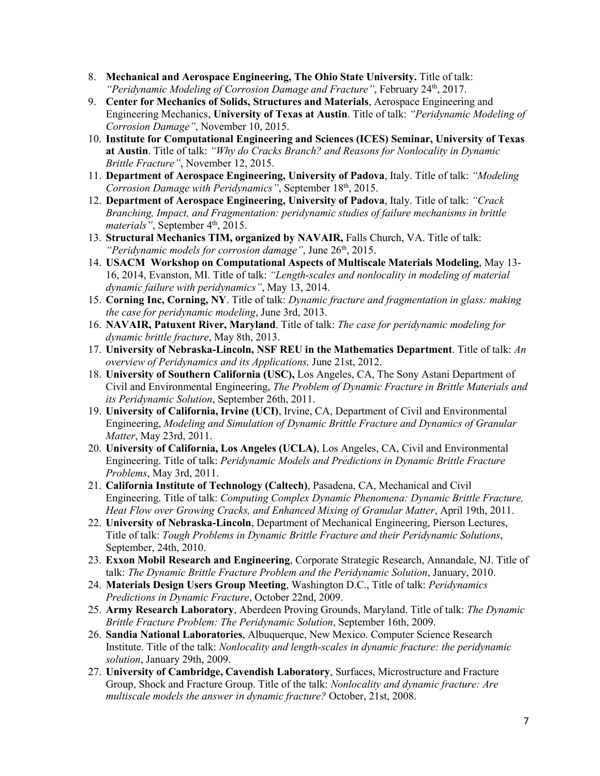- 8. **Mechanical and Aerospace Engineering, The Ohio State University.** Title of talk: "Peridynamic Modeling of Corrosion Damage and Fracture", February 24<sup>th</sup>, 2017.
- 9. **Center for Mechanics of Solids, Structures and Materials**, Aerospace Engineering and Engineering Mechanics, **University of Texas at Austin**. Title of talk: *"Peridynamic Modeling of Corrosion Damage"*, November 10, 2015.
- 10. **Institute for Computational Engineering and Sciences (ICES) Seminar, University of Texas at Austin**. Title of talk: *"Why do Cracks Branch? and Reasons for Nonlocality in Dynamic Brittle Fracture"*, November 12, 2015.
- 11. **Department of Aerospace Engineering, University of Padova**, Italy. Title of talk: *"Modeling Corrosion Damage with Peridynamics"*, September 18<sup>th</sup>, 2015.
- 12. **Department of Aerospace Engineering, University of Padova**, Italy. Title of talk: *"Crack Branching, Impact, and Fragmentation: peridynamic studies of failure mechanisms in brittle materials"*, September 4<sup>th</sup>, 2015.
- 13. **Structural Mechanics TIM, organized by NAVAIR,** Falls Church, VA. Title of talk: *"Peridynamic models for corrosion damage"*, June 26<sup>th</sup>, 2015.
- 14. **USACM Workshop on Computational Aspects of Multiscale Materials Modeling**, May 13- 16, 2014, Evanston, MI. Title of talk: *"Length-scales and nonlocality in modeling of material dynamic failure with peridynamics"*, May 13, 2014.
- 15. **Corning Inc, Corning, NY**. Title of talk: *Dynamic fracture and fragmentation in glass: making the case for peridynamic modeling*, June 3rd, 2013.
- 16. **NAVAIR, Patuxent River, Maryland**. Title of talk: *The case for peridynamic modeling for dynamic brittle fracture*, May 8th, 2013.
- 17. **University of Nebraska-Lincoln, NSF REU in the Mathematics Department**. Title of talk: *An overview of Peridynamics and its Applications,* June 21st, 2012.
- 18. **University of Southern California (USC),** Los Angeles, CA, The Sony Astani Department of Civil and Environmental Engineering, *The Problem of Dynamic Fracture in Brittle Materials and its Peridynamic Solution*, September 26th, 2011.
- 19. **University of California, Irvine (UCI)**, Irvine, CA, Department of Civil and Environmental Engineering, *Modeling and Simulation of Dynamic Brittle Fracture and Dynamics of Granular Matter*, May 23rd, 2011.
- 20. **University of California, Los Angeles (UCLA)**, Los Angeles, CA, Civil and Environmental Engineering. Title of talk: *Peridynamic Models and Predictions in Dynamic Brittle Fracture Problems*, May 3rd, 2011.
- 21. **California Institute of Technology (Caltech)**, Pasadena, CA, Mechanical and Civil Engineering. Title of talk: *Computing Complex Dynamic Phenomena: Dynamic Brittle Fracture, Heat Flow over Growing Cracks, and Enhanced Mixing of Granular Matter*, April 19th, 2011.
- 22. **University of Nebraska-Lincoln**, Department of Mechanical Engineering, Pierson Lectures, Title of talk: *Tough Problems in Dynamic Brittle Fracture and their Peridynamic Solutions*, September, 24th, 2010.
- 23. **Exxon Mobil Research and Engineering**, Corporate Strategic Research, Annandale, NJ. Title of talk: *The Dynamic Brittle Fracture Problem and the Peridynamic Solution*, January, 2010.
- 24. **Materials Design Users Group Meeting**, Washington D.C., Title of talk: *Peridynamics Predictions in Dynamic Fracture*, October 22nd, 2009.
- 25. **Army Research Laboratory**, Aberdeen Proving Grounds, Maryland. Title of talk: *The Dynamic Brittle Fracture Problem: The Peridynamic Solution*, September 16th, 2009.
- 26. **Sandia National Laboratories**, Albuquerque, New Mexico. Computer Science Research Institute. Title of the talk: *Nonlocality and length-scales in dynamic fracture: the peridynamic solution*, January 29th, 2009.
- 27. **University of Cambridge, Cavendish Laboratory**, Surfaces, Microstructure and Fracture Group, Shock and Fracture Group. Title of the talk: *Nonlocality and dynamic fracture: Are multiscale models the answer in dynamic fracture?* October, 21st, 2008.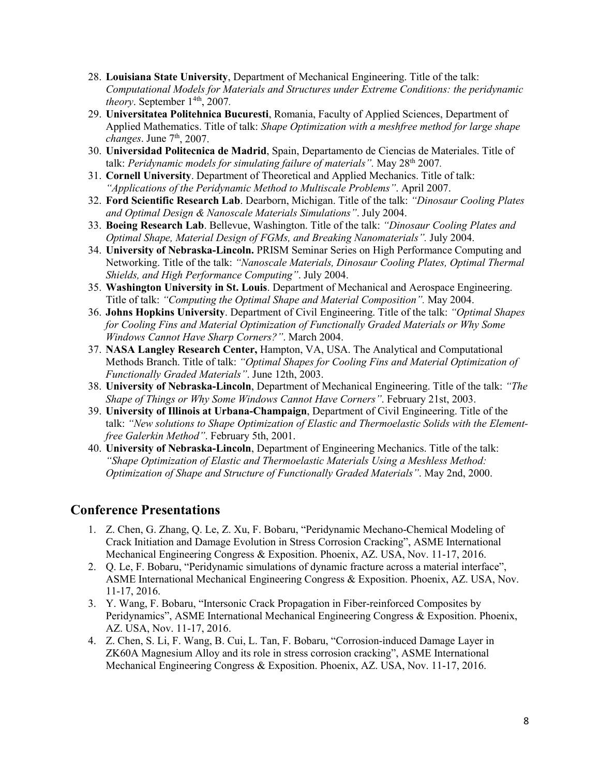- 28. **Louisiana State University**, Department of Mechanical Engineering. Title of the talk: *Computational Models for Materials and Structures under Extreme Conditions: the peridynamic theory*. September  $1^{4th}$ , 2007.
- 29. **Universitatea Politehnica Bucuresti**, Romania, Faculty of Applied Sciences, Department of Applied Mathematics. Title of talk: *Shape Optimization with a meshfree method for large shape changes*. June 7th, 2007.
- 30. **Universidad Politecnica de Madrid**, Spain, Departamento de Ciencias de Materiales. Title of talk: *Peridynamic models for simulating failure of materials".* May 28th 2007*.*
- 31. **Cornell University**. Department of Theoretical and Applied Mechanics. Title of talk: *"Applications of the Peridynamic Method to Multiscale Problems"*. April 2007.
- 32. **Ford Scientific Research Lab**. Dearborn, Michigan. Title of the talk: *"Dinosaur Cooling Plates and Optimal Design & Nanoscale Materials Simulations"*. July 2004.
- 33. **Boeing Research Lab**. Bellevue, Washington. Title of the talk: *"Dinosaur Cooling Plates and Optimal Shape, Material Design of FGMs, and Breaking Nanomaterials".* July 2004.
- 34. **University of Nebraska-Lincoln.** PRISM Seminar Series on High Performance Computing and Networking. Title of the talk: *"Nanoscale Materials, Dinosaur Cooling Plates, Optimal Thermal Shields, and High Performance Computing"*. July 2004.
- 35. **Washington University in St. Louis**. Department of Mechanical and Aerospace Engineering. Title of talk: *"Computing the Optimal Shape and Material Composition".* May 2004.
- 36. **Johns Hopkins University**. Department of Civil Engineering. Title of the talk: *"Optimal Shapes for Cooling Fins and Material Optimization of Functionally Graded Materials or Why Some Windows Cannot Have Sharp Corners?"*. March 2004.
- 37. **NASA Langley Research Center,** Hampton, VA, USA. The Analytical and Computational Methods Branch. Title of talk: *"Optimal Shapes for Cooling Fins and Material Optimization of Functionally Graded Materials"*. June 12th, 2003.
- 38. **University of Nebraska-Lincoln**, Department of Mechanical Engineering. Title of the talk: *"The Shape of Things or Why Some Windows Cannot Have Corners"*. February 21st, 2003.
- 39. **University of Illinois at Urbana-Champaign**, Department of Civil Engineering. Title of the talk: *"New solutions to Shape Optimization of Elastic and Thermoelastic Solids with the Elementfree Galerkin Method"*. February 5th, 2001.
- 40. **University of Nebraska-Lincoln**, Department of Engineering Mechanics. Title of the talk: *"Shape Optimization of Elastic and Thermoelastic Materials Using a Meshless Method: Optimization of Shape and Structure of Functionally Graded Materials"*. May 2nd, 2000.

#### **Conference Presentations**

- 1. Z. Chen, G. Zhang, Q. Le, Z. Xu, F. Bobaru, "Peridynamic Mechano-Chemical Modeling of Crack Initiation and Damage Evolution in Stress Corrosion Cracking", ASME International Mechanical Engineering Congress & Exposition. Phoenix, AZ. USA, Nov. 11-17, 2016.
- 2. Q. Le, F. Bobaru, "Peridynamic simulations of dynamic fracture across a material interface", ASME International Mechanical Engineering Congress & Exposition. Phoenix, AZ. USA, Nov. 11-17, 2016.
- 3. Y. Wang, F. Bobaru, "Intersonic Crack Propagation in Fiber-reinforced Composites by Peridynamics", ASME International Mechanical Engineering Congress & Exposition. Phoenix, AZ. USA, Nov. 11-17, 2016.
- 4. Z. Chen, S. Li, F. Wang, B. Cui, L. Tan, F. Bobaru, "Corrosion-induced Damage Layer in ZK60A Magnesium Alloy and its role in stress corrosion cracking", ASME International Mechanical Engineering Congress & Exposition. Phoenix, AZ. USA, Nov. 11-17, 2016.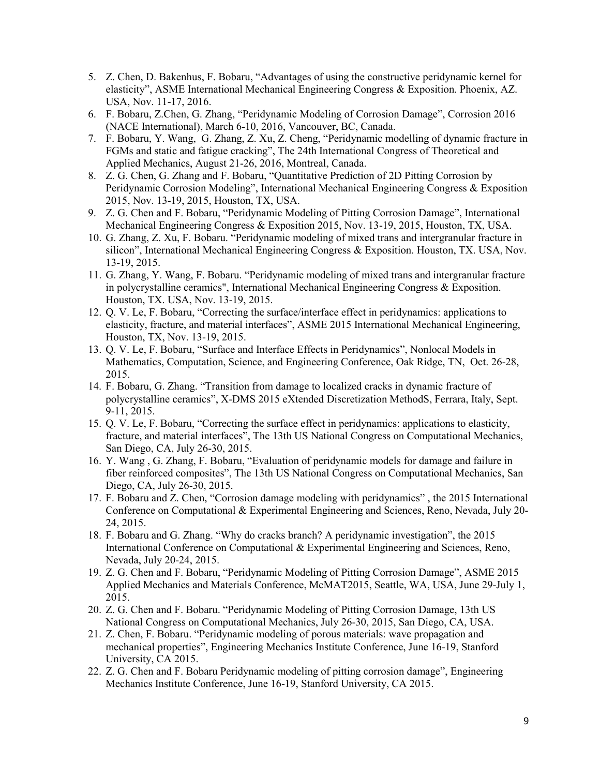- 5. Z. Chen, D. Bakenhus, F. Bobaru, "Advantages of using the constructive peridynamic kernel for elasticity", ASME International Mechanical Engineering Congress & Exposition. Phoenix, AZ. USA, Nov. 11-17, 2016.
- 6. F. Bobaru, Z.Chen, G. Zhang, "Peridynamic Modeling of Corrosion Damage", Corrosion 2016 (NACE International), March 6-10, 2016, Vancouver, BC, Canada.
- 7. F. Bobaru, Y. Wang, G. Zhang, Z. Xu, Z. Cheng, "Peridynamic modelling of dynamic fracture in FGMs and static and fatigue cracking", The 24th International Congress of Theoretical and Applied Mechanics, August 21-26, 2016, Montreal, Canada.
- 8. Z. G. Chen, G. Zhang and F. Bobaru, "Quantitative Prediction of 2D Pitting Corrosion by Peridynamic Corrosion Modeling", International Mechanical Engineering Congress & Exposition 2015, Nov. 13-19, 2015, Houston, TX, USA.
- 9. Z. G. Chen and F. Bobaru, "Peridynamic Modeling of Pitting Corrosion Damage", International Mechanical Engineering Congress & Exposition 2015, Nov. 13-19, 2015, Houston, TX, USA.
- 10. G. Zhang, Z. Xu, F. Bobaru. "Peridynamic modeling of mixed trans and intergranular fracture in silicon", International Mechanical Engineering Congress & Exposition. Houston, TX. USA, Nov. 13-19, 2015.
- 11. G. Zhang, Y. Wang, F. Bobaru. "Peridynamic modeling of mixed trans and intergranular fracture in polycrystalline ceramics", International Mechanical Engineering Congress & Exposition. Houston, TX. USA, Nov. 13-19, 2015.
- 12. Q. V. Le, F. Bobaru, "Correcting the surface/interface effect in peridynamics: applications to elasticity, fracture, and material interfaces", ASME 2015 International Mechanical Engineering, Houston, TX, Nov. 13-19, 2015.
- 13. Q. V. Le, F. Bobaru, "Surface and Interface Effects in Peridynamics", Nonlocal Models in Mathematics, Computation, Science, and Engineering Conference, Oak Ridge, TN, Oct. 26-28, 2015.
- 14. F. Bobaru, G. Zhang. "Transition from damage to localized cracks in dynamic fracture of polycrystalline ceramics", X-DMS 2015 eXtended Discretization MethodS, Ferrara, Italy, Sept. 9-11, 2015.
- 15. Q. V. Le, F. Bobaru, "Correcting the surface effect in peridynamics: applications to elasticity, fracture, and material interfaces", The 13th US National Congress on Computational Mechanics, San Diego, CA, July 26-30, 2015.
- 16. Y. Wang , G. Zhang, F. Bobaru, "Evaluation of peridynamic models for damage and failure in fiber reinforced composites", The 13th US National Congress on Computational Mechanics, San Diego, CA, July 26-30, 2015.
- 17. F. Bobaru and Z. Chen, "Corrosion damage modeling with peridynamics" , the 2015 International Conference on Computational & Experimental Engineering and Sciences, Reno, Nevada, July 20- 24, 2015.
- 18. F. Bobaru and G. Zhang. "Why do cracks branch? A peridynamic investigation", the 2015 International Conference on Computational & Experimental Engineering and Sciences, Reno, Nevada, July 20-24, 2015.
- 19. Z. G. Chen and F. Bobaru, "Peridynamic Modeling of Pitting Corrosion Damage", ASME 2015 Applied Mechanics and Materials Conference, McMAT2015, Seattle, WA, USA, June 29-July 1, 2015.
- 20. Z. G. Chen and F. Bobaru. "Peridynamic Modeling of Pitting Corrosion Damage, 13th US National Congress on Computational Mechanics, July 26-30, 2015, San Diego, CA, USA.
- 21. Z. Chen, F. Bobaru. "Peridynamic modeling of porous materials: wave propagation and mechanical properties", Engineering Mechanics Institute Conference, June 16-19, Stanford University, CA 2015.
- 22. Z. G. Chen and F. Bobaru Peridynamic modeling of pitting corrosion damage", Engineering Mechanics Institute Conference, June 16-19, Stanford University, CA 2015.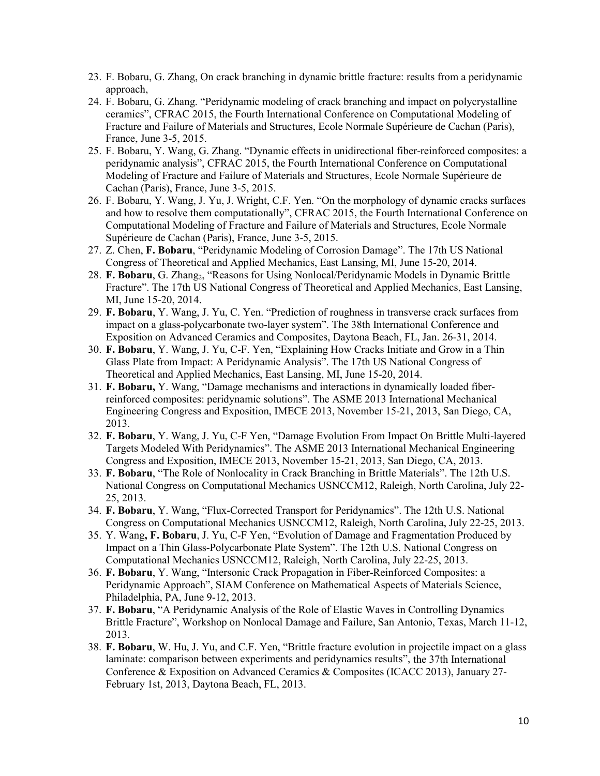- 23. F. Bobaru, G. Zhang, On crack branching in dynamic brittle fracture: results from a peridynamic approach,
- 24. F. Bobaru, G. Zhang. "Peridynamic modeling of crack branching and impact on polycrystalline ceramics", CFRAC 2015, the Fourth International Conference on Computational Modeling of Fracture and Failure of Materials and Structures, Ecole Normale Supérieure de Cachan (Paris), France, June 3-5, 2015.
- 25. F. Bobaru, Y. Wang, G. Zhang. "Dynamic effects in unidirectional fiber-reinforced composites: a peridynamic analysis", CFRAC 2015, the Fourth International Conference on Computational Modeling of Fracture and Failure of Materials and Structures, Ecole Normale Supérieure de Cachan (Paris), France, June 3-5, 2015.
- 26. F. Bobaru, Y. Wang, J. Yu, J. Wright, C.F. Yen. "On the morphology of dynamic cracks surfaces and how to resolve them computationally", CFRAC 2015, the Fourth International Conference on Computational Modeling of Fracture and Failure of Materials and Structures, Ecole Normale Supérieure de Cachan (Paris), France, June 3-5, 2015.
- 27. Z. Chen, **F. Bobaru**, "Peridynamic Modeling of Corrosion Damage". The 17th US National Congress of Theoretical and Applied Mechanics, East Lansing, MI, June 15-20, 2014.
- 28. F. Bobaru, G. Zhang<sub>2</sub>, "Reasons for Using Nonlocal/Peridynamic Models in Dynamic Brittle Fracture". The 17th US National Congress of Theoretical and Applied Mechanics, East Lansing, MI, June 15-20, 2014.
- 29. **F. Bobaru**, Y. Wang, J. Yu, C. Yen. "Prediction of roughness in transverse crack surfaces from impact on a glass-polycarbonate two-layer system". The 38th International Conference and Exposition on Advanced Ceramics and Composites, Daytona Beach, FL, Jan. 26-31, 2014.
- 30. **F. Bobaru**, Y. Wang, J. Yu, C-F. Yen, "Explaining How Cracks Initiate and Grow in a Thin Glass Plate from Impact: A Peridynamic Analysis". The 17th US National Congress of Theoretical and Applied Mechanics, East Lansing, MI, June 15-20, 2014.
- 31. **F. Bobaru,** Y. Wang, "Damage mechanisms and interactions in dynamically loaded fiberreinforced composites: peridynamic solutions". The ASME 2013 International Mechanical Engineering Congress and Exposition, IMECE 2013, November 15-21, 2013, San Diego, CA, 2013.
- 32. **F. Bobaru**, Y. Wang, J. Yu, C-F Yen, "Damage Evolution From Impact On Brittle Multi-layered Targets Modeled With Peridynamics". The ASME 2013 International Mechanical Engineering Congress and Exposition, IMECE 2013, November 15-21, 2013, San Diego, CA, 2013.
- 33. **F. Bobaru**, "The Role of Nonlocality in Crack Branching in Brittle Materials". The 12th U.S. National Congress on Computational Mechanics USNCCM12, Raleigh, North Carolina, July 22- 25, 2013.
- 34. **F. Bobaru**, Y. Wang, "Flux-Corrected Transport for Peridynamics". The 12th U.S. National Congress on Computational Mechanics USNCCM12, Raleigh, North Carolina, July 22-25, 2013.
- 35. Y. Wang**, F. Bobaru**, J. Yu, C-F Yen, "Evolution of Damage and Fragmentation Produced by Impact on a Thin Glass-Polycarbonate Plate System". The 12th U.S. National Congress on Computational Mechanics USNCCM12, Raleigh, North Carolina, July 22-25, 2013.
- 36. **F. Bobaru**, Y. Wang, "Intersonic Crack Propagation in Fiber-Reinforced Composites: a Peridynamic Approach", SIAM Conference on Mathematical Aspects of Materials Science, Philadelphia, PA, June 9-12, 2013.
- 37. **F. Bobaru**, "A Peridynamic Analysis of the Role of Elastic Waves in Controlling Dynamics Brittle Fracture", Workshop on Nonlocal Damage and Failure, San Antonio, Texas, March 11-12, 2013.
- 38. **F. Bobaru**, W. Hu, J. Yu, and C.F. Yen, "Brittle fracture evolution in projectile impact on a glass laminate: comparison between experiments and peridynamics results", the 37th International Conference & Exposition on Advanced Ceramics & Composites (ICACC 2013), January 27- February 1st, 2013, Daytona Beach, FL, 2013.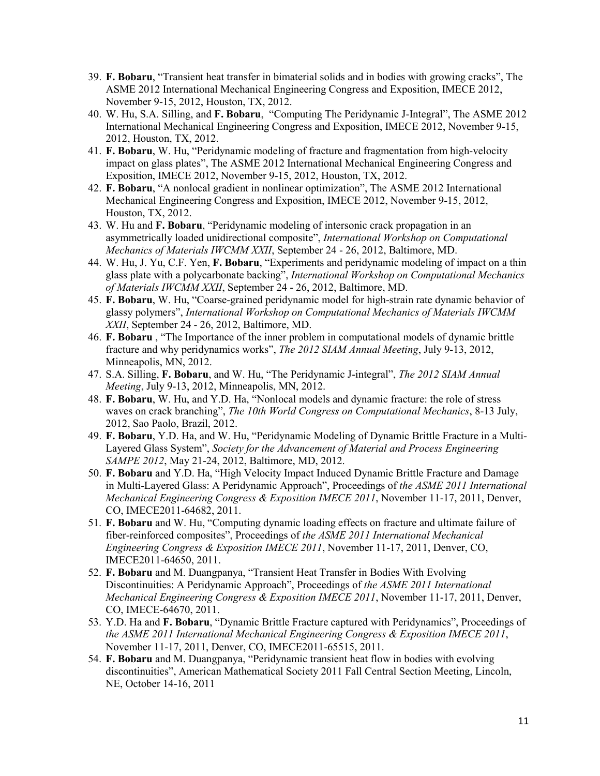- 39. **F. Bobaru**, "Transient heat transfer in bimaterial solids and in bodies with growing cracks", The ASME 2012 International Mechanical Engineering Congress and Exposition, IMECE 2012, November 9-15, 2012, Houston, TX, 2012.
- 40. W. Hu, S.A. Silling, and **F. Bobaru**, "Computing The Peridynamic J-Integral", The ASME 2012 International Mechanical Engineering Congress and Exposition, IMECE 2012, November 9-15, 2012, Houston, TX, 2012.
- 41. **F. Bobaru**, W. Hu, "Peridynamic modeling of fracture and fragmentation from high-velocity impact on glass plates", The ASME 2012 International Mechanical Engineering Congress and Exposition, IMECE 2012, November 9-15, 2012, Houston, TX, 2012.
- 42. **F. Bobaru**, "A nonlocal gradient in nonlinear optimization", The ASME 2012 International Mechanical Engineering Congress and Exposition, IMECE 2012, November 9-15, 2012, Houston, TX, 2012.
- 43. W. Hu and **F. Bobaru**, "Peridynamic modeling of intersonic crack propagation in an asymmetrically loaded unidirectional composite", *International Workshop on Computational Mechanics of Materials IWCMM XXII*, September 24 - 26, 2012, Baltimore, MD.
- 44. W. Hu, J. Yu, C.F. Yen, **F. Bobaru**, "Experiments and peridynamic modeling of impact on a thin glass plate with a polycarbonate backing", *International Workshop on Computational Mechanics of Materials IWCMM XXII*, September 24 - 26, 2012, Baltimore, MD.
- 45. **F. Bobaru**, W. Hu, "Coarse-grained peridynamic model for high-strain rate dynamic behavior of glassy polymers", *International Workshop on Computational Mechanics of Materials IWCMM XXII*, September 24 - 26, 2012, Baltimore, MD.
- 46. **F. Bobaru** , "The Importance of the inner problem in computational models of dynamic brittle fracture and why peridynamics works", *The 2012 SIAM Annual Meeting*, July 9-13, 2012, Minneapolis, MN, 2012.
- 47. S.A. Silling, **F. Bobaru**, and W. Hu, "The Peridynamic J-integral", *The 2012 SIAM Annual Meeting*, July 9-13, 2012, Minneapolis, MN, 2012.
- 48. **F. Bobaru**, W. Hu, and Y.D. Ha, "Nonlocal models and dynamic fracture: the role of stress waves on crack branching", *The 10th World Congress on Computational Mechanics*, 8-13 July, 2012, Sao Paolo, Brazil, 2012.
- 49. **F. Bobaru**, Y.D. Ha, and W. Hu, "Peridynamic Modeling of Dynamic Brittle Fracture in a Multi-Layered Glass System", *Society for the Advancement of Material and Process Engineering SAMPE 2012*, May 21-24, 2012, Baltimore, MD, 2012.
- 50. **F. Bobaru** and Y.D. Ha, "High Velocity Impact Induced Dynamic Brittle Fracture and Damage in Multi-Layered Glass: A Peridynamic Approach", Proceedings of *the ASME 2011 International Mechanical Engineering Congress & Exposition IMECE 2011*, November 11-17, 2011, Denver, CO, IMECE2011-64682, 2011.
- 51. **F. Bobaru** and W. Hu, "Computing dynamic loading effects on fracture and ultimate failure of fiber-reinforced composites", Proceedings of *the ASME 2011 International Mechanical Engineering Congress & Exposition IMECE 2011*, November 11-17, 2011, Denver, CO, IMECE2011-64650, 2011.
- 52. **F. Bobaru** and M. Duangpanya, "Transient Heat Transfer in Bodies With Evolving Discontinuities: A Peridynamic Approach", Proceedings of *the ASME 2011 International Mechanical Engineering Congress & Exposition IMECE 2011*, November 11-17, 2011, Denver, CO, IMECE-64670, 2011.
- 53. Y.D. Ha and **F. Bobaru**, "Dynamic Brittle Fracture captured with Peridynamics", Proceedings of *the ASME 2011 International Mechanical Engineering Congress & Exposition IMECE 2011*, November 11-17, 2011, Denver, CO, IMECE2011-65515, 2011.
- 54. **F. Bobaru** and M. Duangpanya, "Peridynamic transient heat flow in bodies with evolving discontinuities", American Mathematical Society 2011 Fall Central Section Meeting, Lincoln, NE, October 14-16, 2011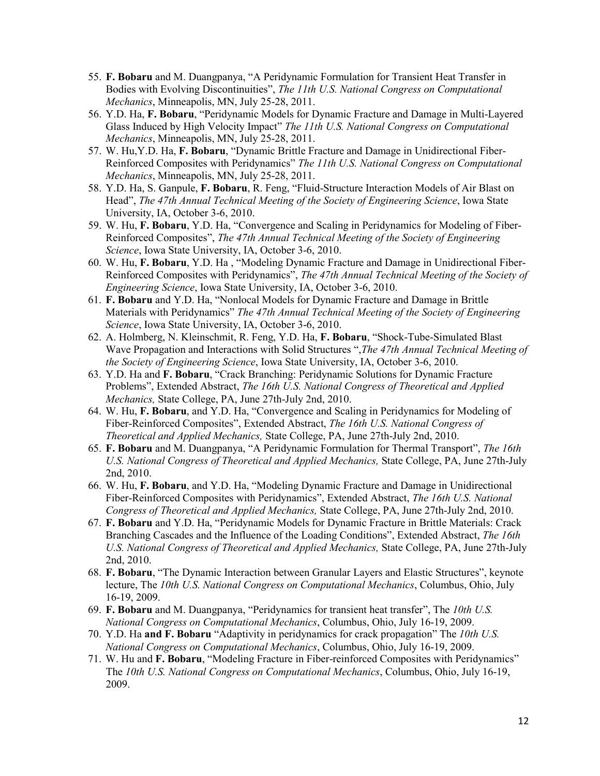- 55. **F. Bobaru** and M. Duangpanya, "A Peridynamic Formulation for Transient Heat Transfer in Bodies with Evolving Discontinuities", *The 11th U.S. National Congress on Computational Mechanics*, Minneapolis, MN, July 25-28, 2011.
- 56. Y.D. Ha, **F. Bobaru**, "Peridynamic Models for Dynamic Fracture and Damage in Multi-Layered Glass Induced by High Velocity Impact" *The 11th U.S. National Congress on Computational Mechanics*, Minneapolis, MN, July 25-28, 2011.
- 57. W. Hu,Y.D. Ha, **F. Bobaru**, "Dynamic Brittle Fracture and Damage in Unidirectional Fiber-Reinforced Composites with Peridynamics" *The 11th U.S. National Congress on Computational Mechanics*, Minneapolis, MN, July 25-28, 2011.
- 58. Y.D. Ha, S. Ganpule, **F. Bobaru**, R. Feng, "Fluid-Structure Interaction Models of Air Blast on Head", *The 47th Annual Technical Meeting of the Society of Engineering Science*, Iowa State University, IA, October 3-6, 2010.
- 59. W. Hu, **F. Bobaru**, Y.D. Ha, "Convergence and Scaling in Peridynamics for Modeling of Fiber-Reinforced Composites", *The 47th Annual Technical Meeting of the Society of Engineering Science*, Iowa State University, IA, October 3-6, 2010.
- 60. W. Hu, **F. Bobaru**, Y.D. Ha , "Modeling Dynamic Fracture and Damage in Unidirectional Fiber-Reinforced Composites with Peridynamics", *The 47th Annual Technical Meeting of the Society of Engineering Science*, Iowa State University, IA, October 3-6, 2010.
- 61. **F. Bobaru** and Y.D. Ha, "Nonlocal Models for Dynamic Fracture and Damage in Brittle Materials with Peridynamics" *The 47th Annual Technical Meeting of the Society of Engineering Science*, Iowa State University, IA, October 3-6, 2010.
- 62. A. Holmberg, N. Kleinschmit, R. Feng, Y.D. Ha, **F. Bobaru**, "Shock-Tube-Simulated Blast Wave Propagation and Interactions with Solid Structures ",*The 47th Annual Technical Meeting of the Society of Engineering Science*, Iowa State University, IA, October 3-6, 2010.
- 63. Y.D. Ha and **F. Bobaru**, "Crack Branching: Peridynamic Solutions for Dynamic Fracture Problems", Extended Abstract, *The 16th U.S. National Congress of Theoretical and Applied Mechanics,* State College, PA, June 27th-July 2nd, 2010.
- 64. W. Hu, **F. Bobaru**, and Y.D. Ha, "Convergence and Scaling in Peridynamics for Modeling of Fiber-Reinforced Composites", Extended Abstract, *The 16th U.S. National Congress of Theoretical and Applied Mechanics,* State College, PA, June 27th-July 2nd, 2010.
- 65. **F. Bobaru** and M. Duangpanya, "A Peridynamic Formulation for Thermal Transport", *The 16th U.S. National Congress of Theoretical and Applied Mechanics,* State College, PA, June 27th-July 2nd, 2010.
- 66. W. Hu, **F. Bobaru**, and Y.D. Ha, "Modeling Dynamic Fracture and Damage in Unidirectional Fiber-Reinforced Composites with Peridynamics", Extended Abstract, *The 16th U.S. National Congress of Theoretical and Applied Mechanics,* State College, PA, June 27th-July 2nd, 2010.
- 67. **F. Bobaru** and Y.D. Ha, "Peridynamic Models for Dynamic Fracture in Brittle Materials: Crack Branching Cascades and the Influence of the Loading Conditions", Extended Abstract, *The 16th U.S. National Congress of Theoretical and Applied Mechanics,* State College, PA, June 27th-July 2nd, 2010.
- 68. **F. Bobaru**, "The Dynamic Interaction between Granular Layers and Elastic Structures", keynote lecture, The *10th U.S. National Congress on Computational Mechanics*, Columbus, Ohio, July 16-19, 2009.
- 69. **F. Bobaru** and M. Duangpanya, "Peridynamics for transient heat transfer", The *10th U.S. National Congress on Computational Mechanics*, Columbus, Ohio, July 16-19, 2009.
- 70. Y.D. Ha **and F. Bobaru** "Adaptivity in peridynamics for crack propagation" The *10th U.S. National Congress on Computational Mechanics*, Columbus, Ohio, July 16-19, 2009.
- 71. W. Hu and **F. Bobaru**, "Modeling Fracture in Fiber-reinforced Composites with Peridynamics" The *10th U.S. National Congress on Computational Mechanics*, Columbus, Ohio, July 16-19, 2009.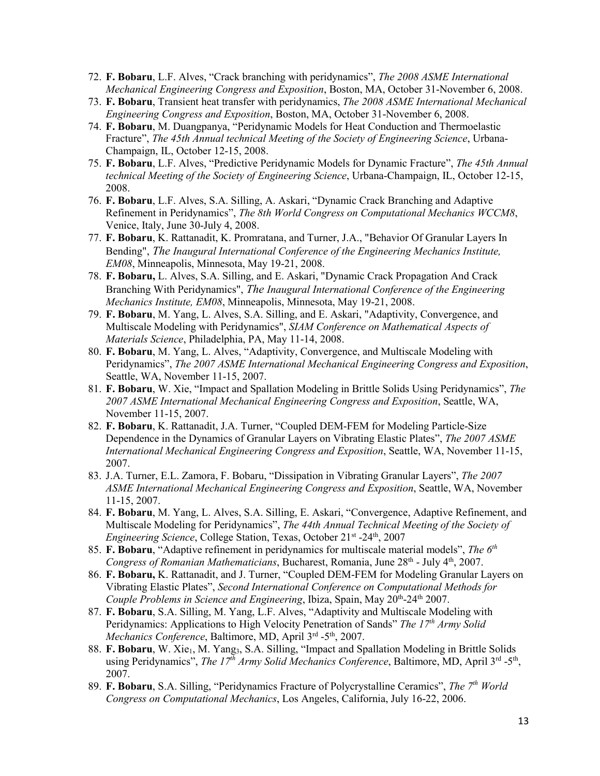- 72. **F. Bobaru**, L.F. Alves, "Crack branching with peridynamics", *The 2008 ASME International Mechanical Engineering Congress and Exposition*, Boston, MA, October 31-November 6, 2008.
- 73. **F. Bobaru**, Transient heat transfer with peridynamics, *The 2008 ASME International Mechanical Engineering Congress and Exposition*, Boston, MA, October 31-November 6, 2008.
- 74. **F. Bobaru**, M. Duangpanya, "Peridynamic Models for Heat Conduction and Thermoelastic Fracture", *The 45th Annual technical Meeting of the Society of Engineering Science*, Urbana-Champaign, IL, October 12-15, 2008.
- 75. **F. Bobaru**, L.F. Alves, "Predictive Peridynamic Models for Dynamic Fracture", *The 45th Annual technical Meeting of the Society of Engineering Science*, Urbana-Champaign, IL, October 12-15, 2008.
- 76. **F. Bobaru**, L.F. Alves, S.A. Silling, A. Askari, "Dynamic Crack Branching and Adaptive Refinement in Peridynamics", *The 8th World Congress on Computational Mechanics WCCM8*, Venice, Italy, June 30-July 4, 2008.
- 77. **F. Bobaru**, K. Rattanadit, K. Promratana, and Turner, J.A., "Behavior Of Granular Layers In Bending", *The Inaugural International Conference of the Engineering Mechanics Institute, EM08*, Minneapolis, Minnesota, May 19-21, 2008.
- 78. **F. Bobaru,** L. Alves, S.A. Silling, and E. Askari, "Dynamic Crack Propagation And Crack Branching With Peridynamics", *The Inaugural International Conference of the Engineering Mechanics Institute, EM08*, Minneapolis, Minnesota, May 19-21, 2008.
- 79. **F. Bobaru**, M. Yang, L. Alves, S.A. Silling, and E. Askari, "Adaptivity, Convergence, and Multiscale Modeling with Peridynamics", *SIAM Conference on Mathematical Aspects of Materials Science*, Philadelphia, PA, May 11-14, 2008.
- 80. **F. Bobaru**, M. Yang, L. Alves, "Adaptivity, Convergence, and Multiscale Modeling with Peridynamics", *The 2007 ASME International Mechanical Engineering Congress and Exposition*, Seattle, WA, November 11-15, 2007.
- 81. **F. Bobaru**, W. Xie, "Impact and Spallation Modeling in Brittle Solids Using Peridynamics", *The 2007 ASME International Mechanical Engineering Congress and Exposition*, Seattle, WA, November 11-15, 2007.
- 82. **F. Bobaru**, K. Rattanadit, J.A. Turner, "Coupled DEM-FEM for Modeling Particle-Size Dependence in the Dynamics of Granular Layers on Vibrating Elastic Plates", *The 2007 ASME International Mechanical Engineering Congress and Exposition*, Seattle, WA, November 11-15, 2007.
- 83. J.A. Turner, E.L. Zamora, F. Bobaru, "Dissipation in Vibrating Granular Layers", *The 2007 ASME International Mechanical Engineering Congress and Exposition*, Seattle, WA, November 11-15, 2007.
- 84. **F. Bobaru**, M. Yang, L. Alves, S.A. Silling, E. Askari, "Convergence, Adaptive Refinement, and Multiscale Modeling for Peridynamics", *The 44th Annual Technical Meeting of the Society of Engineering Science*, College Station, Texas, October 21<sup>st</sup> -24<sup>th</sup>, 2007
- 85. **F. Bobaru**, "Adaptive refinement in peridynamics for multiscale material models", *The 6th Congress of Romanian Mathematicians*, Bucharest, Romania, June 28<sup>th</sup> - July 4<sup>th</sup>, 2007.
- 86. **F. Bobaru,** K. Rattanadit, and J. Turner, "Coupled DEM-FEM for Modeling Granular Layers on Vibrating Elastic Plates", *Second International Conference on Computational Methods for Couple Problems in Science and Engineering*, Ibiza, Spain, May 20<sup>th</sup>-24<sup>th</sup> 2007.
- 87. **F. Bobaru**, S.A. Silling, M. Yang, L.F. Alves, "Adaptivity and Multiscale Modeling with Peridynamics: Applications to High Velocity Penetration of Sands" *The 17th Army Solid Mechanics Conference*, Baltimore, MD, April 3rd -5th, 2007.
- 88. **F. Bobaru**, W. Xie<sub>1</sub>, M. Yang<sub>3</sub>, S.A. Silling, "Impact and Spallation Modeling in Brittle Solids using Peridynamics", *The 17<sup>th</sup> Army Solid Mechanics Conference*, Baltimore, MD, April 3<sup>rd</sup> -5<sup>th</sup>, 2007.
- 89. **F. Bobaru**, S.A. Silling, "Peridynamics Fracture of Polycrystalline Ceramics", *The 7th World Congress on Computational Mechanics*, Los Angeles, California, July 16-22, 2006.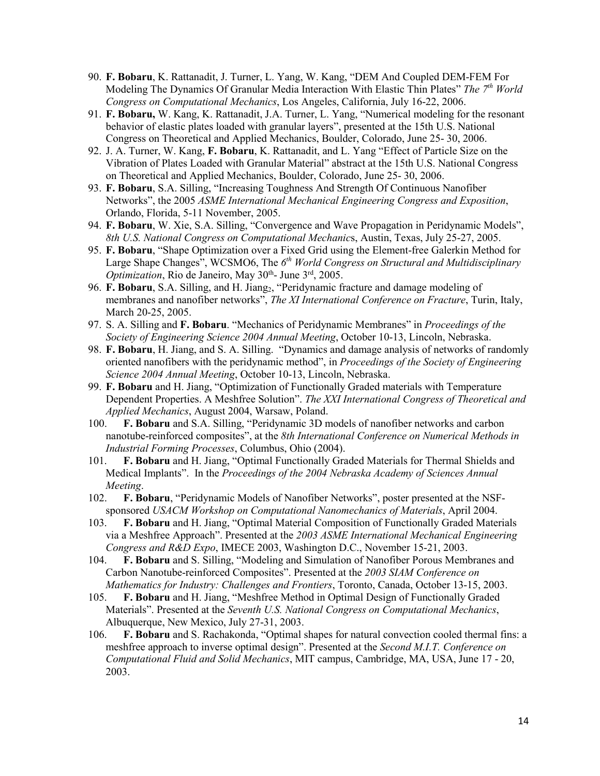- 90. **F. Bobaru**, K. Rattanadit, J. Turner, L. Yang, W. Kang, "DEM And Coupled DEM-FEM For Modeling The Dynamics Of Granular Media Interaction With Elastic Thin Plates" *The 7th World Congress on Computational Mechanics*, Los Angeles, California, July 16-22, 2006.
- 91. **F. Bobaru,** W. Kang, K. Rattanadit, J.A. Turner, L. Yang, "Numerical modeling for the resonant behavior of elastic plates loaded with granular layers", presented at the 15th U.S. National Congress on Theoretical and Applied Mechanics, Boulder, Colorado, June 25- 30, 2006.
- 92. J. A. Turner, W. Kang, **F. Bobaru**, K. Rattanadit, and L. Yang "Effect of Particle Size on the Vibration of Plates Loaded with Granular Material" abstract at the 15th U.S. National Congress on Theoretical and Applied Mechanics, Boulder, Colorado, June 25- 30, 2006.
- 93. **F. Bobaru**, S.A. Silling, "Increasing Toughness And Strength Of Continuous Nanofiber Networks", the 2005 *ASME International Mechanical Engineering Congress and Exposition*, Orlando, Florida, 5-11 November, 2005.
- 94. **F. Bobaru**, W. Xie, S.A. Silling, "Convergence and Wave Propagation in Peridynamic Models", *8th U.S. National Congress on Computational Mechanic*s, Austin, Texas, July 25-27, 2005.
- 95. **F. Bobaru**, "Shape Optimization over a Fixed Grid using the Element-free Galerkin Method for Large Shape Changes", WCSMO6, The *6th World Congress on Structural and Multidisciplinary Optimization*, Rio de Janeiro, May 30<sup>th</sup>- June 3<sup>rd</sup>, 2005.
- 96. **F. Bobaru**, S.A. Silling, and H. Jiang<sub>2</sub>, "Peridynamic fracture and damage modeling of membranes and nanofiber networks", *The XI International Conference on Fracture*, Turin, Italy, March 20-25, 2005.
- 97. S. A. Silling and **F. Bobaru**. "Mechanics of Peridynamic Membranes" in *Proceedings of the Society of Engineering Science 2004 Annual Meeting*, October 10-13, Lincoln, Nebraska.
- 98. **F. Bobaru**, H. Jiang, and S. A. Silling. "Dynamics and damage analysis of networks of randomly oriented nanofibers with the peridynamic method", in *Proceedings of the Society of Engineering Science 2004 Annual Meeting*, October 10-13, Lincoln, Nebraska.
- 99. **F. Bobaru** and H. Jiang, "Optimization of Functionally Graded materials with Temperature Dependent Properties. A Meshfree Solution". *The XXI International Congress of Theoretical and Applied Mechanics*, August 2004, Warsaw, Poland.
- 100. **F. Bobaru** and S.A. Silling, "Peridynamic 3D models of nanofiber networks and carbon nanotube-reinforced composites", at the *8th International Conference on Numerical Methods in Industrial Forming Processes*, Columbus, Ohio (2004).
- 101. **F. Bobaru** and H. Jiang, "Optimal Functionally Graded Materials for Thermal Shields and Medical Implants". In the *Proceedings of the 2004 Nebraska Academy of Sciences Annual Meeting*.
- 102. **F. Bobaru**, "Peridynamic Models of Nanofiber Networks", poster presented at the NSFsponsored *USACM Workshop on Computational Nanomechanics of Materials*, April 2004.
- 103. **F. Bobaru** and H. Jiang, "Optimal Material Composition of Functionally Graded Materials via a Meshfree Approach". Presented at the *2003 ASME International Mechanical Engineering Congress and R&D Expo*, IMECE 2003, Washington D.C., November 15-21, 2003.
- 104. **F. Bobaru** and S. Silling, "Modeling and Simulation of Nanofiber Porous Membranes and Carbon Nanotube-reinforced Composites". Presented at the *2003 SIAM Conference on Mathematics for Industry: Challenges and Frontiers*, Toronto, Canada, October 13-15, 2003.
- 105. **F. Bobaru** and H. Jiang, "Meshfree Method in Optimal Design of Functionally Graded Materials". Presented at the *Seventh U.S. National Congress on Computational Mechanics*, Albuquerque, New Mexico, July 27-31, 2003.
- 106. **F. Bobaru** and S. Rachakonda, "Optimal shapes for natural convection cooled thermal fins: a meshfree approach to inverse optimal design". Presented at the *Second M.I.T. Conference on Computational Fluid and Solid Mechanics*, MIT campus, Cambridge, MA, USA, June 17 - 20, 2003.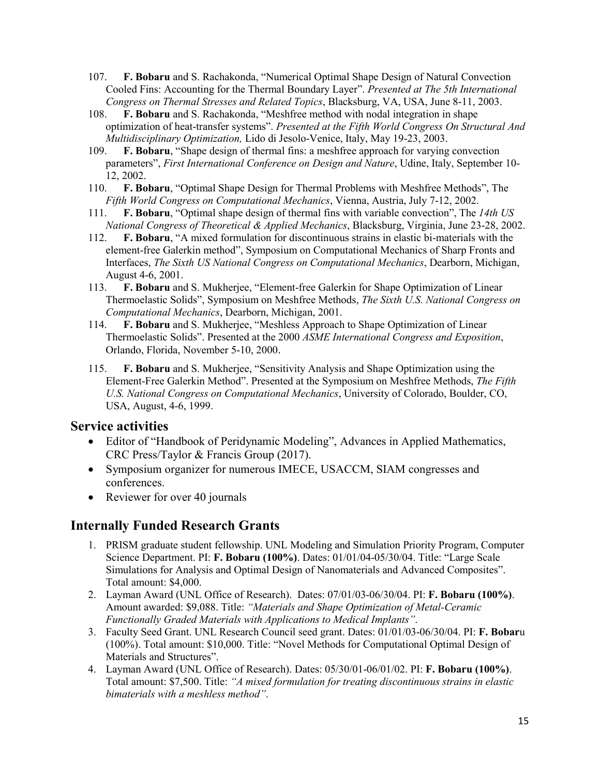- 107. **F. Bobaru** and S. Rachakonda, "Numerical Optimal Shape Design of Natural Convection Cooled Fins: Accounting for the Thermal Boundary Layer". *Presented at The 5th International Congress on Thermal Stresses and Related Topics*, Blacksburg, VA, USA, June 8-11, 2003.
- 108. **F. Bobaru** and S. Rachakonda, "Meshfree method with nodal integration in shape optimization of heat-transfer systems". *Presented at the Fifth World Congress On Structural And Multidisciplinary Optimization,* Lido di Jesolo-Venice, Italy, May 19-23, 2003.
- 109. **F. Bobaru**, "Shape design of thermal fins: a meshfree approach for varying convection parameters", *First International Conference on Design and Nature*, Udine, Italy, September 10- 12, 2002.
- 110. **F. Bobaru**, "Optimal Shape Design for Thermal Problems with Meshfree Methods", The *Fifth World Congress on Computational Mechanics*, Vienna, Austria, July 7-12, 2002.
- 111. **F. Bobaru**, "Optimal shape design of thermal fins with variable convection", The *14th US National Congress of Theoretical & Applied Mechanics*, Blacksburg, Virginia, June 23-28, 2002.
- 112. **F. Bobaru**, "A mixed formulation for discontinuous strains in elastic bi-materials with the element-free Galerkin method", Symposium on Computational Mechanics of Sharp Fronts and Interfaces, *The Sixth US National Congress on Computational Mechanics*, Dearborn, Michigan, August 4-6, 2001.
- 113. **F. Bobaru** and S. Mukherjee, "Element-free Galerkin for Shape Optimization of Linear Thermoelastic Solids", Symposium on Meshfree Methods, *The Sixth U.S. National Congress on Computational Mechanics*, Dearborn, Michigan, 2001.
- 114. **F. Bobaru** and S. Mukherjee, "Meshless Approach to Shape Optimization of Linear Thermoelastic Solids". Presented at the 2000 *ASME International Congress and Exposition*, Orlando, Florida, November 5-10, 2000.
- 115. **F. Bobaru** and S. Mukherjee, "Sensitivity Analysis and Shape Optimization using the Element-Free Galerkin Method". Presented at the Symposium on Meshfree Methods, *The Fifth U.S. National Congress on Computational Mechanics*, University of Colorado, Boulder, CO, USA, August, 4-6, 1999.

#### **Service activities**

- Editor of "Handbook of Peridynamic Modeling", Advances in Applied Mathematics, CRC Press/Taylor & Francis Group (2017).
- Symposium organizer for numerous IMECE, USACCM, SIAM congresses and conferences.
- Reviewer for over 40 journals

#### **Internally Funded Research Grants**

- 1. PRISM graduate student fellowship. UNL Modeling and Simulation Priority Program, Computer Science Department. PI: **F. Bobaru (100%)**. Dates: 01/01/04-05/30/04. Title: "Large Scale Simulations for Analysis and Optimal Design of Nanomaterials and Advanced Composites". Total amount: \$4,000.
- 2. Layman Award (UNL Office of Research). Dates: 07/01/03-06/30/04. PI: **F. Bobaru (100%)**. Amount awarded: \$9,088. Title: *"Materials and Shape Optimization of Metal-Ceramic Functionally Graded Materials with Applications to Medical Implants"*.
- 3. Faculty Seed Grant. UNL Research Council seed grant. Dates: 01/01/03-06/30/04. PI: **F. Bobar**u (100%). Total amount: \$10,000. Title: "Novel Methods for Computational Optimal Design of Materials and Structures".
- 4. Layman Award (UNL Office of Research). Dates: 05/30/01-06/01/02. PI: **F. Bobaru (100%)**. Total amount: \$7,500. Title: *"A mixed formulation for treating discontinuous strains in elastic bimaterials with a meshless method"*.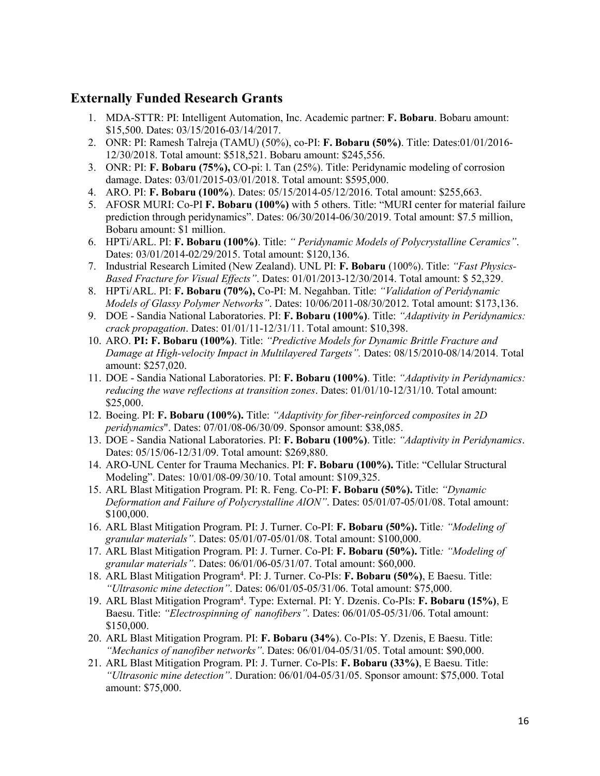#### **Externally Funded Research Grants**

- 1. MDA-STTR: PI: Intelligent Automation, Inc. Academic partner: **F. Bobaru**. Bobaru amount: \$15,500. Dates: 03/15/2016-03/14/2017.
- 2. ONR: PI: Ramesh Talreja (TAMU) (50%), co-PI: **F. Bobaru (50%)**. Title: Dates:01/01/2016- 12/30/2018. Total amount: \$518,521. Bobaru amount: \$245,556.
- 3. ONR: PI: **F. Bobaru (75%),** CO-pi: l. Tan (25%). Title: Peridynamic modeling of corrosion damage. Dates: 03/01/2015-03/01/2018. Total amount: \$595,000.
- 4. ARO. PI: **F. Bobaru (100%**). Dates: 05/15/2014-05/12/2016. Total amount: \$255,663.
- 5. AFOSR MURI: Co-PI **F. Bobaru (100%)** with 5 others. Title: "MURI center for material failure prediction through peridynamics". Dates: 06/30/2014-06/30/2019. Total amount: \$7.5 million, Bobaru amount: \$1 million.
- 6. HPTi/ARL. PI: **F. Bobaru (100%)**. Title: *" Peridynamic Models of Polycrystalline Ceramics"*. Dates: 03/01/2014-02/29/2015. Total amount: \$120,136.
- 7. Industrial Research Limited (New Zealand). UNL PI: **F. Bobaru** (100%). Title: *"Fast Physics-Based Fracture for Visual Effects"*. Dates: 01/01/2013-12/30/2014. Total amount: \$ 52,329.
- 8. HPTi/ARL. PI: **F. Bobaru (70%),** Co-PI: M. Negahban. Title: *"Validation of Peridynamic Models of Glassy Polymer Networks"*. Dates: 10/06/2011-08/30/2012. Total amount: \$173,136.
- 9. DOE Sandia National Laboratories. PI: **F. Bobaru (100%)**. Title: *"Adaptivity in Peridynamics: crack propagation*. Dates: 01/01/11-12/31/11. Total amount: \$10,398.
- 10. ARO. **PI: F. Bobaru (100%)**. Title: *"Predictive Models for Dynamic Brittle Fracture and Damage at High-velocity Impact in Multilayered Targets".* Dates: 08/15/2010-08/14/2014. Total amount: \$257,020.
- 11. DOE Sandia National Laboratories. PI: **F. Bobaru (100%)**. Title: *"Adaptivity in Peridynamics: reducing the wave reflections at transition zones*. Dates: 01/01/10-12/31/10. Total amount: \$25,000.
- 12. Boeing. PI: **F. Bobaru (100%).** Title: *"Adaptivity for fiber-reinforced composites in 2D peridynamics*". Dates: 07/01/08-06/30/09. Sponsor amount: \$38,085.
- 13. DOE Sandia National Laboratories. PI: **F. Bobaru (100%)**. Title: *"Adaptivity in Peridynamics*. Dates: 05/15/06-12/31/09. Total amount: \$269,880.
- 14. ARO-UNL Center for Trauma Mechanics. PI: **F. Bobaru (100%).** Title: "Cellular Structural Modeling". Dates: 10/01/08-09/30/10. Total amount: \$109,325.
- 15. ARL Blast Mitigation Program. PI: R. Feng. Co-PI: **F. Bobaru (50%).** Title: *"Dynamic Deformation and Failure of Polycrystalline AlON"*. Dates: 05/01/07-05/01/08. Total amount: \$100,000.
- 16. ARL Blast Mitigation Program. PI: J. Turner. Co-PI: **F. Bobaru (50%).** Title*: "Modeling of granular materials"*. Dates: 05/01/07-05/01/08. Total amount: \$100,000.
- 17. ARL Blast Mitigation Program. PI: J. Turner. Co-PI: **F. Bobaru (50%).** Title*: "Modeling of granular materials"*. Dates: 06/01/06-05/31/07. Total amount: \$60,000.
- 18. ARL Blast Mitigation Program4 . PI: J. Turner. Co-PIs: **F. Bobaru (50%)**, E Baesu. Title: *"Ultrasonic mine detection"*. Dates: 06/01/05-05/31/06. Total amount: \$75,000.
- 19. ARL Blast Mitigation Program4 . Type: External. PI: Y. Dzenis. Co-PIs: **F. Bobaru (15%)**, E Baesu. Title: *"Electrospinning of nanofibers"*. Dates: 06/01/05-05/31/06. Total amount: \$150,000.
- 20. ARL Blast Mitigation Program. PI: **F. Bobaru (34%**). Co-PIs: Y. Dzenis, E Baesu. Title: *"Mechanics of nanofiber networks"*. Dates: 06/01/04-05/31/05. Total amount: \$90,000.
- 21. ARL Blast Mitigation Program. PI: J. Turner. Co-PIs: **F. Bobaru (33%)**, E Baesu. Title: *"Ultrasonic mine detection"*. Duration: 06/01/04-05/31/05. Sponsor amount: \$75,000. Total amount: \$75,000.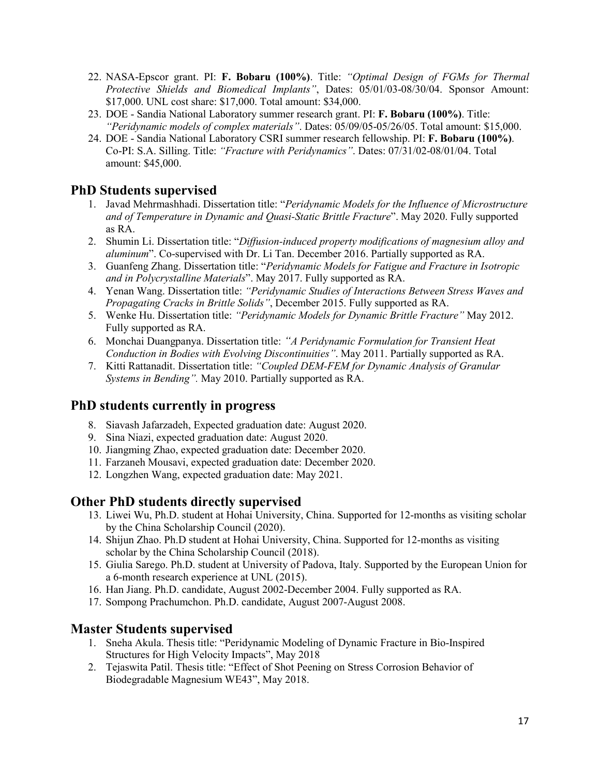- 22. NASA-Epscor grant. PI: **F. Bobaru (100%)**. Title: *"Optimal Design of FGMs for Thermal Protective Shields and Biomedical Implants"*, Dates: 05/01/03-08/30/04. Sponsor Amount: \$17,000. UNL cost share: \$17,000. Total amount: \$34,000.
- 23. DOE Sandia National Laboratory summer research grant. PI: **F. Bobaru (100%)**. Title: *"Peridynamic models of complex materials"*. Dates: 05/09/05-05/26/05. Total amount: \$15,000.
- 24. DOE Sandia National Laboratory CSRI summer research fellowship. PI: **F. Bobaru (100%)**. Co-PI: S.A. Silling. Title: *"Fracture with Peridynamics"*. Dates: 07/31/02-08/01/04. Total amount: \$45,000.

# **PhD Students supervised**

- 1. Javad Mehrmashhadi. Dissertation title: "*Peridynamic Models for the Influence of Microstructure and of Temperature in Dynamic and Quasi-Static Brittle Fracture*". May 2020. Fully supported as RA.
- 2. Shumin Li. Dissertation title: "*Diffusion-induced property modifications of magnesium alloy and aluminum*". Co-supervised with Dr. Li Tan. December 2016. Partially supported as RA.
- 3. Guanfeng Zhang. Dissertation title: "*Peridynamic Models for Fatigue and Fracture in Isotropic and in Polycrystalline Materials*". May 2017. Fully supported as RA.
- 4. Yenan Wang. Dissertation title: *"Peridynamic Studies of Interactions Between Stress Waves and Propagating Cracks in Brittle Solids"*, December 2015. Fully supported as RA.
- 5. Wenke Hu. Dissertation title: *"Peridynamic Models for Dynamic Brittle Fracture"* May 2012. Fully supported as RA.
- 6. Monchai Duangpanya. Dissertation title: *"A Peridynamic Formulation for Transient Heat Conduction in Bodies with Evolving Discontinuities"*. May 2011. Partially supported as RA.
- 7. Kitti Rattanadit. Dissertation title: *"Coupled DEM-FEM for Dynamic Analysis of Granular Systems in Bending".* May 2010. Partially supported as RA.

#### **PhD students currently in progress**

- 8. Siavash Jafarzadeh, Expected graduation date: August 2020.
- 9. Sina Niazi, expected graduation date: August 2020.
- 10. Jiangming Zhao, expected graduation date: December 2020.
- 11. Farzaneh Mousavi, expected graduation date: December 2020.
- 12. Longzhen Wang, expected graduation date: May 2021.

- **Other PhD students directly supervised**<br>13. Liwei Wu, Ph.D. student at Hohai University, China. Supported for 12-months as visiting scholar by the China Scholarship Council (2020).
	- 14. Shijun Zhao. Ph.D student at Hohai University, China. Supported for 12-months as visiting scholar by the China Scholarship Council (2018).
	- 15. Giulia Sarego. Ph.D. student at University of Padova, Italy. Supported by the European Union for a 6-month research experience at UNL (2015).
	- 16. Han Jiang. Ph.D. candidate, August 2002-December 2004. Fully supported as RA.
	- 17. Sompong Prachumchon. Ph.D. candidate, August 2007-August 2008.

#### **Master Students supervised**

- 1. Sneha Akula. Thesis title: "Peridynamic Modeling of Dynamic Fracture in Bio-Inspired Structures for High Velocity Impacts", May 2018
- 2. Tejaswita Patil. Thesis title: "Effect of Shot Peening on Stress Corrosion Behavior of Biodegradable Magnesium WE43", May 2018.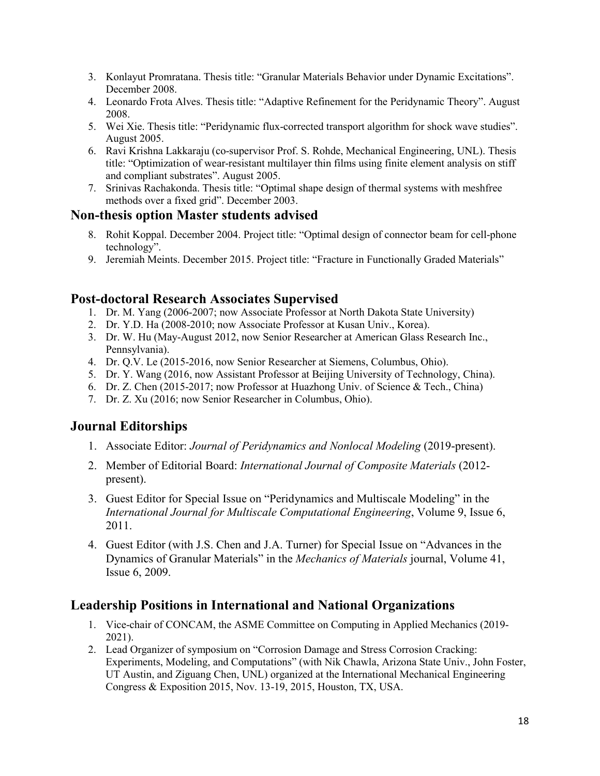- 3. Konlayut Promratana. Thesis title: "Granular Materials Behavior under Dynamic Excitations". December 2008.
- 4. Leonardo Frota Alves. Thesis title: "Adaptive Refinement for the Peridynamic Theory". August 2008.
- 5. Wei Xie. Thesis title: "Peridynamic flux-corrected transport algorithm for shock wave studies". August 2005.
- 6. Ravi Krishna Lakkaraju (co-supervisor Prof. S. Rohde, Mechanical Engineering, UNL). Thesis title: "Optimization of wear-resistant multilayer thin films using finite element analysis on stiff and compliant substrates". August 2005.
- 7. Srinivas Rachakonda. Thesis title: "Optimal shape design of thermal systems with meshfree methods over a fixed grid". December 2003.

#### **Non-thesis option Master students advised**

- 8. Rohit Koppal. December 2004. Project title: "Optimal design of connector beam for cell-phone technology".
- 9. Jeremiah Meints. December 2015. Project title: "Fracture in Functionally Graded Materials"

#### **Post-doctoral Research Associates Supervised**

- 1. Dr. M. Yang (2006-2007; now Associate Professor at North Dakota State University)
- 2. Dr. Y.D. Ha (2008-2010; now Associate Professor at Kusan Univ., Korea).
- 3. Dr. W. Hu (May-August 2012, now Senior Researcher at American Glass Research Inc., Pennsylvania).
- 4. Dr. Q.V. Le (2015-2016, now Senior Researcher at Siemens, Columbus, Ohio).
- 5. Dr. Y. Wang (2016, now Assistant Professor at Beijing University of Technology, China).
- 6. Dr. Z. Chen (2015-2017; now Professor at Huazhong Univ. of Science & Tech., China)
- 7. Dr. Z. Xu (2016; now Senior Researcher in Columbus, Ohio).

# **Journal Editorships**

- 1. Associate Editor: *Journal of Peridynamics and Nonlocal Modeling* (2019-present).
- 2. Member of Editorial Board: *International Journal of Composite Materials* (2012 present).
- 3. Guest Editor for Special Issue on "Peridynamics and Multiscale Modeling" in the *International Journal for Multiscale Computational Engineering*, Volume 9, Issue 6, 2011.
- 4. Guest Editor (with J.S. Chen and J.A. Turner) for Special Issue on "Advances in the Dynamics of Granular Materials" in the *Mechanics of Materials* journal, Volume 41, Issue 6, 2009.

# **Leadership Positions in International and National Organizations**

- 1. Vice-chair of CONCAM, the ASME Committee on Computing in Applied Mechanics (2019- 2021).
- 2. Lead Organizer of symposium on "Corrosion Damage and Stress Corrosion Cracking: Experiments, Modeling, and Computations" (with Nik Chawla, Arizona State Univ., John Foster, UT Austin, and Ziguang Chen, UNL) organized at the International Mechanical Engineering Congress & Exposition 2015, Nov. 13-19, 2015, Houston, TX, USA.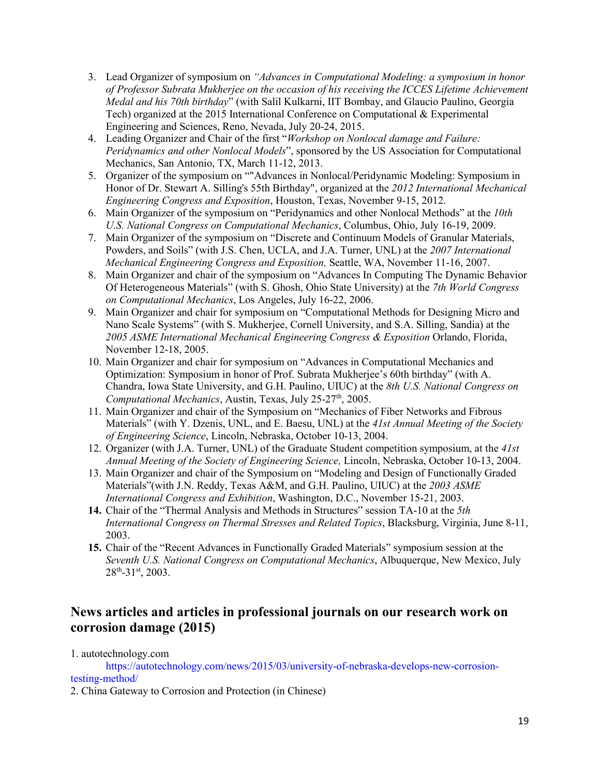- 3. Lead Organizer of symposium on *"Advances in Computational Modeling: a symposium in honor of Professor Subrata Mukherjee on the occasion of his receiving the ICCES Lifetime Achievement Medal and his 70th birthday*" (with Salil Kulkarni, IIT Bombay, and Glaucio Paulino, Georgia Tech) organized at the 2015 International Conference on Computational & Experimental Engineering and Sciences, Reno, Nevada, July 20-24, 2015.
- 4. Leading Organizer and Chair of the first "*Workshop on Nonlocal damage and Failure: Peridynamics and other Nonlocal Models*", sponsored by the US Association for Computational Mechanics, San Antonio, TX, March 11-12, 2013.
- 5. Organizer of the symposium on ""Advances in Nonlocal/Peridynamic Modeling: Symposium in Honor of Dr. Stewart A. Silling's 55th Birthday", organized at the *2012 International Mechanical Engineering Congress and Exposition*, Houston, Texas, November 9-15, 2012.
- 6. Main Organizer of the symposium on "Peridynamics and other Nonlocal Methods" at the *10th U.S. National Congress on Computational Mechanics*, Columbus, Ohio, July 16-19, 2009.
- 7. Main Organizer of the symposium on "Discrete and Continuum Models of Granular Materials, Powders, and Soils" (with J.S. Chen, UCLA, and J.A. Turner, UNL) at the *2007 International Mechanical Engineering Congress and Exposition,* Seattle, WA, November 11-16, 2007.
- 8. Main Organizer and chair of the symposium on "Advances In Computing The Dynamic Behavior Of Heterogeneous Materials" (with S. Ghosh, Ohio State University) at the *7th World Congress on Computational Mechanics*, Los Angeles, July 16-22, 2006.
- 9. Main Organizer and chair for symposium on "Computational Methods for Designing Micro and Nano Scale Systems" (with S. Mukherjee, Cornell University, and S.A. Silling, Sandia) at the *2005 ASME International Mechanical Engineering Congress & Exposition* Orlando, Florida, November 12-18, 2005.
- 10. Main Organizer and chair for symposium on "Advances in Computational Mechanics and Optimization: Symposium in honor of Prof. Subrata Mukherjee's 60th birthday" (with A. Chandra, Iowa State University, and G.H. Paulino, UIUC) at the *8th U.S. National Congress on Computational Mechanics*, Austin, Texas, July 25-27<sup>th</sup>, 2005.
- 11. Main Organizer and chair of the Symposium on "Mechanics of Fiber Networks and Fibrous Materials" (with Y. Dzenis, UNL, and E. Baesu, UNL) at the *41st Annual Meeting of the Society of Engineering Science*, Lincoln, Nebraska, October 10-13, 2004.
- 12. Organizer (with J.A. Turner, UNL) of the Graduate Student competition symposium, at the *41st Annual Meeting of the Society of Engineering Science,* Lincoln, Nebraska, October 10-13, 2004.
- 13. Main Organizer and chair of the Symposium on "Modeling and Design of Functionally Graded Materials"(with J.N. Reddy, Texas A&M, and G.H. Paulino, UIUC) at the *2003 ASME International Congress and Exhibition*, Washington, D.C., November 15-21, 2003.
- **14.** Chair of the "Thermal Analysis and Methods in Structures" session TA-10 at the *5th International Congress on Thermal Stresses and Related Topics*, Blacksburg, Virginia, June 8-11, 2003.
- **15.** Chair of the "Recent Advances in Functionally Graded Materials" symposium session at the *Seventh U.S. National Congress on Computational Mechanics*, Albuquerque, New Mexico, July  $28^{th} - 31^{st}$ , 2003.

#### **News articles and articles in professional journals on our research work on corrosion damage (2015)**

1. autotechnology.com

https://autotechnology.com/news/2015/03/university-of-nebraska-develops-new-corrosiontesting-method/

2. China Gateway to Corrosion and Protection (in Chinese)